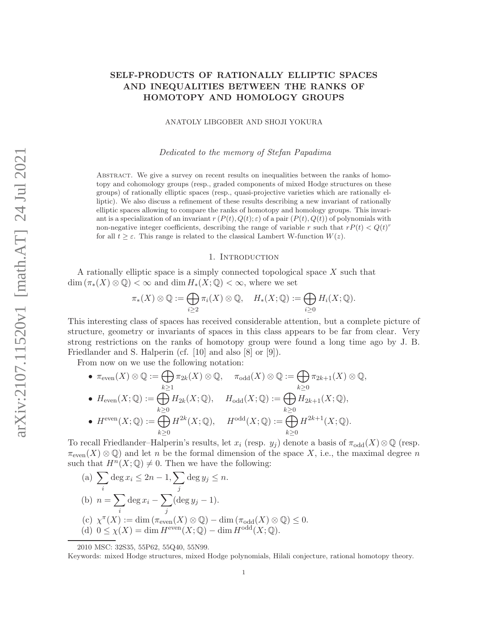# SELF-PRODUCTS OF RATIONALLY ELLIPTIC SPACES AND INEQUALITIES BETWEEN THE RANKS OF HOMOTOPY AND HOMOLOGY GROUPS

ANATOLY LIBGOBER AND SHOJI YOKURA

Dedicated to the memory of Stefan Papadima

Abstract. We give a survey on recent results on inequalities between the ranks of homotopy and cohomology groups (resp., graded components of mixed Hodge structures on these groups) of rationally elliptic spaces (resp., quasi-projective varieties which are rationally elliptic). We also discuss a refinement of these results describing a new invariant of rationally elliptic spaces allowing to compare the ranks of homotopy and homology groups. This invariant is a specialization of an invariant  $r(P(t), Q(t); \varepsilon)$  of a pair  $(P(t), Q(t))$  of polynomials with non-negative integer coefficients, describing the range of variable r such that  $rP(t) < Q(t)^r$ for all  $t \geq \varepsilon$ . This range is related to the classical Lambert W-function  $W(z)$ .

#### 1. INTRODUCTION

A rationally elliptic space is a simply connected topological space X such that  $\dim (\pi_*(X) \otimes \mathbb{Q}) < \infty$  and  $\dim H_*(X; \mathbb{Q}) < \infty$ , where we set

$$
\pi_*(X) \otimes \mathbb{Q} := \bigoplus_{i \geq 2} \pi_i(X) \otimes \mathbb{Q}, \quad H_*(X; \mathbb{Q}) := \bigoplus_{i \geq 0} H_i(X; \mathbb{Q}).
$$

This interesting class of spaces has received considerable attention, but a complete picture of structure, geometry or invariants of spaces in this class appears to be far from clear. Very strong restrictions on the ranks of homotopy group were found a long time ago by J. B. Friedlander and S. Halperin (cf. [10] and also [8] or [9]).

From now on we use the following notation:

\n- \n
$$
\pi_{\text{even}}(X) \otimes \mathbb{Q} := \bigoplus_{k \geq 1} \pi_{2k}(X) \otimes \mathbb{Q}, \quad \pi_{\text{odd}}(X) \otimes \mathbb{Q} := \bigoplus_{k \geq 0} \pi_{2k+1}(X) \otimes \mathbb{Q},
$$
\n
\n- \n
$$
H_{\text{even}}(X; \mathbb{Q}) := \bigoplus_{k \geq 0} H_{2k}(X; \mathbb{Q}), \quad H_{\text{odd}}(X; \mathbb{Q}) := \bigoplus_{k \geq 0} H_{2k+1}(X; \mathbb{Q}),
$$
\n
\n- \n
$$
H^{\text{even}}(X; \mathbb{Q}) := \bigoplus_{k \geq 0} H^{2k}(X; \mathbb{Q}), \quad H^{\text{odd}}(X; \mathbb{Q}) := \bigoplus_{k \geq 0} H^{2k+1}(X; \mathbb{Q}).
$$
\n
\n

To recall Friedlander–Halperin's results, let  $x_i$  (resp.  $y_j$ ) denote a basis of  $\pi_{odd}(X)\otimes\mathbb{Q}$  (resp.  $\pi_{\text{even}}(X) \otimes \mathbb{Q}$  and let n be the formal dimension of the space X, i.e., the maximal degree n such that  $H^n(X; \mathbb{Q}) \neq 0$ . Then we have the following:

(a) 
$$
\sum_{i} \deg x_{i} \leq 2n - 1, \sum_{j} \deg y_{j} \leq n.
$$
  
\n(b) 
$$
n = \sum_{i} \deg x_{i} - \sum_{j} (\deg y_{j} - 1).
$$
  
\n(c) 
$$
\chi^{\pi}(X) := \dim (\pi_{even}(X) \otimes \mathbb{Q}) - \dim (\pi_{odd}(X) \otimes \mathbb{Q}) \leq 0.
$$
  
\n(d) 
$$
0 \leq \chi(X) = \dim H^{\text{even}}(X; \mathbb{Q}) - \dim H^{\text{odd}}(X; \mathbb{Q}).
$$

2010 MSC: 32S35, 55P62, 55Q40, 55N99.

Keywords: mixed Hodge structures, mixed Hodge polynomials, Hilali conjecture, rational homotopy theory.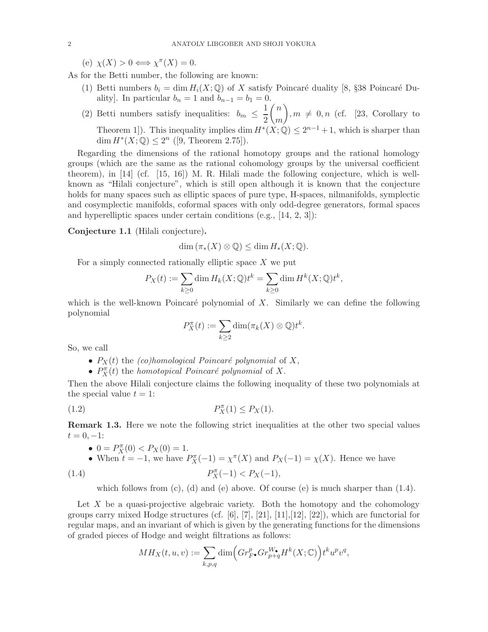(e)  $\chi(X) > 0 \Longleftrightarrow \chi^{\pi}(X) = 0.$ 

As for the Betti number, the following are known:

- (1) Betti numbers  $b_i = \dim H_i(X; \mathbb{Q})$  of X satisfy Poincaré duality [8, §38 Poincaré Duality]. In particular  $b_n = 1$  and  $b_{n-1} = b_1 = 0$ .
- (2) Betti numbers satisfy inequalities:  $b_m \leq \frac{1}{2}$ 2  $\sqrt{n}$ m  $\setminus$  $, m \neq 0, n$  (cf. [23, Corollary to Theorem 1]). This inequality implies  $\dim H^*(X; \mathbb{Q}) \leq 2^{n-1} + 1$ , which is sharper than dim  $H^*(X; \mathbb{Q}) \leq 2^n$  ([9, Theorem 2.75]).

Regarding the dimensions of the rational homotopy groups and the rational homology groups (which are the same as the rational cohomology groups by the universal coefficient theorem), in [14] (cf. [15, 16]) M. R. Hilali made the following conjecture, which is wellknown as "Hilali conjecture", which is still open although it is known that the conjecture holds for many spaces such as elliptic spaces of pure type, H-spaces, nilmanifolds, symplectic and cosymplectic manifolds, coformal spaces with only odd-degree generators, formal spaces and hyperelliptic spaces under certain conditions (e.g., [14, 2, 3]):

### Conjecture 1.1 (Hilali conjecture).

$$
\dim (\pi_*(X) \otimes \mathbb{Q}) \le \dim H_*(X; \mathbb{Q}).
$$

For a simply connected rationally elliptic space  $X$  we put

$$
P_X(t) := \sum_{k \ge 0} \dim H_k(X; \mathbb{Q}) t^k = \sum_{k \ge 0} \dim H^k(X; \mathbb{Q}) t^k,
$$

which is the well-known Poincaré polynomial of  $X$ . Similarly we can define the following polynomial

$$
P_X^{\pi}(t) := \sum_{k \ge 2} \dim(\pi_k(X) \otimes \mathbb{Q}) t^k.
$$

So, we call

- $P_X(t)$  the (co)homological Poincaré polynomial of X,
- $P_X^{\pi}(t)$  the *homotopical Poincaré polynomial* of X.

Then the above Hilali conjecture claims the following inequality of these two polynomials at the special value  $t = 1$ :

$$
(1.2) \t\t\t P_X^{\pi}(1) \le P_X(1).
$$

Remark 1.3. Here we note the following strict inequalities at the other two special values  $t = 0, -1$ :

• 
$$
0 = P_X^{\pi}(0) < P_X(0) = 1.
$$

• When 
$$
t = -1
$$
, we have  $P_X^{\pi}(-1) = \chi^{\pi}(X)$  and  $P_X(-1) = \chi(X)$ . Hence we have  $P_X^{\pi}(-1) < P_X(-1)$ ,

which follows from  $(c)$ ,  $(d)$  and  $(e)$  above. Of course  $(e)$  is much sharper than  $(1.4)$ .

Let  $X$  be a quasi-projective algebraic variety. Both the homotopy and the cohomology groups carry mixed Hodge structures (cf.  $[6]$ ,  $[7]$ ,  $[21]$ ,  $[11]$ ,  $[12]$ ,  $[22]$ ), which are functorial for regular maps, and an invariant of which is given by the generating functions for the dimensions of graded pieces of Hodge and weight filtrations as follows:

$$
MH_X(t, u, v) := \sum_{k, p, q} \dim \Big( Gr_{F^{\bullet}}^p Gr_{p+q}^{W_{\bullet}} H^k(X; \mathbb{C}) \Big) t^k u^p v^q,
$$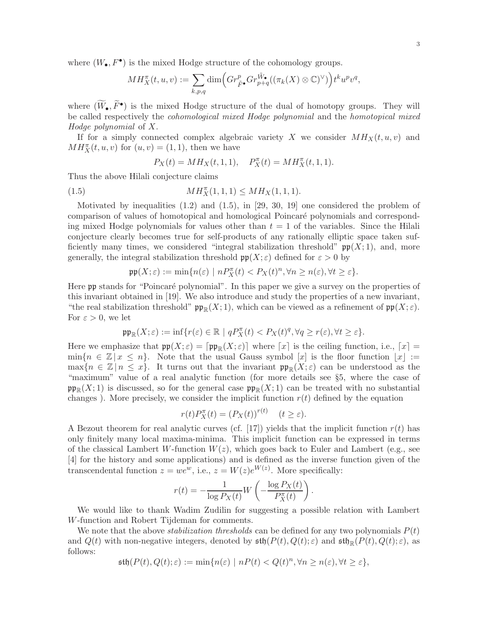where  $(W_{\bullet}, F^{\bullet})$  is the mixed Hodge structure of the cohomology groups.

$$
MH_X^{\pi}(t,u,v):=\sum_{k,p,q}\dim\Bigl(Gr_{\tilde{F}\bullet}^pGr_{p+q}^{\tilde{W}\bullet}((\pi_k(X)\otimes\mathbb{C})^{\vee})\Bigr)t^ku^pv^q,
$$

where  $(\widetilde{W}_{\bullet}, \widetilde{F}^{\bullet})$  is the mixed Hodge structure of the dual of homotopy groups. They will be called respectively the cohomological mixed Hodge polynomial and the homotopical mixed Hodge polynomial of X.

If for a simply connected complex algebraic variety X we consider  $MH_X(t, u, v)$  and  $MH_X^{\pi}(t, u, v)$  for  $(u, v) = (1, 1)$ , then we have

$$
P_X(t) = MH_X(t, 1, 1), \quad P_X^{\pi}(t) = MH_X^{\pi}(t, 1, 1).
$$

Thus the above Hilali conjecture claims

(1.5) 
$$
MH_X^{\pi}(1,1,1) \leq MH_X(1,1,1).
$$

Motivated by inequalities  $(1.2)$  and  $(1.5)$ , in  $[29, 30, 19]$  one considered the problem of comparison of values of homotopical and homological Poincar´e polynomials and corresponding mixed Hodge polynomials for values other than  $t = 1$  of the variables. Since the Hilali conjecture clearly becomes true for self-products of any rationally elliptic space taken sufficiently many times, we considered "integral stabilization threshold"  $\mathfrak{pp}(X;1)$ , and, more generally, the integral stabilization threshold  $\mathfrak{pp}(X;\varepsilon)$  defined for  $\varepsilon > 0$  by

$$
\mathfrak{pp}(X;\varepsilon) := \min\{n(\varepsilon) \mid nP_X^{\pi}(t) < P_X(t)^n, \forall n \ge n(\varepsilon), \forall t \ge \varepsilon\}.
$$

Here pp stands for "Poincaré polynomial". In this paper we give a survey on the properties of this invariant obtained in [19]. We also introduce and study the properties of a new invariant, "the real stabilization threshold"  $\mathfrak{pp}_\mathbb{R}(X; 1)$ , which can be viewed as a refinement of  $\mathfrak{pp}(X; \varepsilon)$ . For  $\varepsilon > 0$ , we let

$$
\mathfrak{pp}_{\mathbb{R}}(X;\varepsilon):=\inf\{r(\varepsilon)\in\mathbb{R}~|~qP_X^\pi(t)
$$

Here we emphasize that  $\mathfrak{pp}(X;\varepsilon) = [\mathfrak{pp}_{\mathbb{R}}(X;\varepsilon)]$  where  $[x]$  is the ceiling function, i.e.,  $[x] =$  $\min\{n \in \mathbb{Z} \mid x \leq n\}.$  Note that the usual Gauss symbol  $[x]$  is the floor function  $|x| :=$  $\max\{n \in \mathbb{Z} \mid n \leq x\}.$  It turns out that the invariant  $\mathfrak{pp}_\mathbb{R}(X;\varepsilon)$  can be understood as the "maximum" value of a real analytic function (for more details see §5, where the case of  $\mathfrak{pp}_{\mathbb{R}}(X;1)$  is discussed, so for the general case  $\mathfrak{pp}_{\mathbb{R}}(X;1)$  can be treated with no substantial changes). More precisely, we consider the implicit function  $r(t)$  defined by the equation

$$
r(t)P_X^{\pi}(t) = (P_X(t))^{r(t)} \quad (t \ge \varepsilon).
$$

A Bezout theorem for real analytic curves (cf. [17]) yields that the implicit function  $r(t)$  has only finitely many local maxima-minima. This implicit function can be expressed in terms of the classical Lambert W-function  $W(z)$ , which goes back to Euler and Lambert (e.g., see [4] for the history and some applications) and is defined as the inverse function given of the transcendental function  $z = we^w$ , i.e.,  $z = W(z)e^{W(z)}$ . More specifically:

$$
r(t) = -\frac{1}{\log P_X(t)} W\left(-\frac{\log P_X(t)}{P_X^{\pi}(t)}\right).
$$

We would like to thank Wadim Zudilin for suggesting a possible relation with Lambert W-function and Robert Tijdeman for comments.

We note that the above *stabilization thresholds* can be defined for any two polynomials  $P(t)$ and  $Q(t)$  with non-negative integers, denoted by  $\mathfrak{sth}(P(t), Q(t); \varepsilon)$  and  $\mathfrak{sth}_{\mathbb{R}}(P(t), Q(t); \varepsilon)$ , as follows:

$$
\mathfrak{sth}(P(t), Q(t); \varepsilon) := \min\{n(\varepsilon) \mid nP(t) < Q(t)^n, \forall n \ge n(\varepsilon), \forall t \ge \varepsilon\},
$$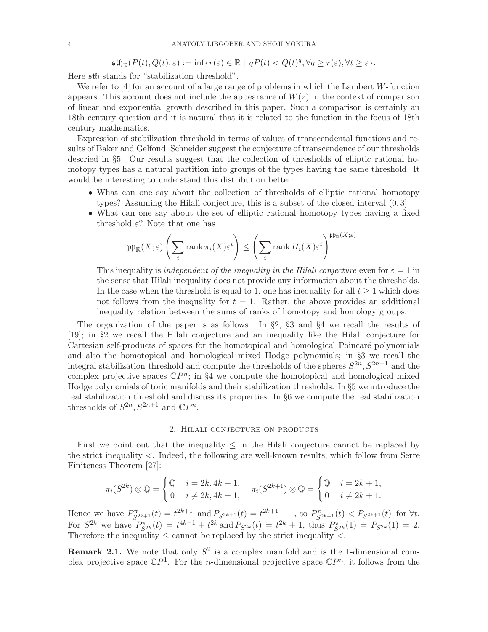$\mathfrak{stb}_\mathbb{R}(P(t),Q(t);\varepsilon) := \inf\{r(\varepsilon) \in \mathbb{R} \mid qP(t) < Q(t)^q, \forall q \geq r(\varepsilon), \forall t \geq \varepsilon\}.$ 

Here sth stands for "stabilization threshold".

We refer to [4] for an account of a large range of problems in which the Lambert W-function appears. This account does not include the appearance of  $W(z)$  in the context of comparison of linear and exponential growth described in this paper. Such a comparison is certainly an 18th century question and it is natural that it is related to the function in the focus of 18th century mathematics.

Expression of stabilization threshold in terms of values of transcendental functions and results of Baker and Gelfond–Schneider suggest the conjecture of transcendence of our thresholds descried in §5. Our results suggest that the collection of thresholds of elliptic rational homotopy types has a natural partition into groups of the types having the same threshold. It would be interesting to understand this distribution better:

- What can one say about the collection of thresholds of elliptic rational homotopy types? Assuming the Hilali conjecture, this is a subset of the closed interval (0, 3].
- What can one say about the set of elliptic rational homotopy types having a fixed threshold  $\varepsilon$ ? Note that one has

$$
\mathfrak{pp}_{\mathbb{R}}(X;\varepsilon)\left(\sum_i \mathrm{rank}\,\pi_i(X)\varepsilon^i\right) \leq \left(\sum_i \mathrm{rank}\, H_i(X)\varepsilon^i\right)^{\mathfrak{pp}_{\mathbb{R}}(X;\varepsilon)}
$$

This inequality is *independent of the inequality in the Hilali conjecture* even for  $\varepsilon = 1$  in the sense that Hilali inequality does not provide any information about the thresholds. In the case when the threshold is equal to 1, one has inequality for all  $t \geq 1$  which does not follows from the inequality for  $t = 1$ . Rather, the above provides an additional inequality relation between the sums of ranks of homotopy and homology groups.

.

The organization of the paper is as follows. In §2, §3 and §4 we recall the results of [19]; in §2 we recall the Hilali conjecture and an inequality like the Hilali conjecture for Cartesian self-products of spaces for the homotopical and homological Poincaré polynomials and also the homotopical and homological mixed Hodge polynomials; in §3 we recall the integral stabilization threshold and compute the thresholds of the spheres  $S^{2n}, S^{2n+1}$  and the complex projective spaces  $\mathbb{C}P^n$ ; in §4 we compute the homotopical and homological mixed Hodge polynomials of toric manifolds and their stabilization thresholds. In §5 we introduce the real stabilization threshold and discuss its properties. In §6 we compute the real stabilization thresholds of  $S^{2n}, S^{2n+1}$  and  $\mathbb{C}P^n$ .

#### 2. Hilali conjecture on products

First we point out that the inequality  $\leq$  in the Hilali conjecture cannot be replaced by the strict inequality <. Indeed, the following are well-known results, which follow from Serre Finiteness Theorem [27]:

$$
\pi_i(S^{2k}) \otimes \mathbb{Q} = \begin{cases} \mathbb{Q} & i = 2k, 4k - 1, \\ 0 & i \neq 2k, 4k - 1, \end{cases} \quad \pi_i(S^{2k+1}) \otimes \mathbb{Q} = \begin{cases} \mathbb{Q} & i = 2k + 1, \\ 0 & i \neq 2k + 1. \end{cases}
$$

Hence we have  $P_{S^{2k+1}}^{\pi}(t) = t^{2k+1}$  and  $P_{S^{2k+1}}(t) = t^{2k+1} + 1$ , so  $P_{S^{2k+1}}^{\pi}(t) < P_{S^{2k+1}}(t)$  for  $\forall t$ . For  $S^{2k}$  we have  $P_{S^{2k}}^{\pi}(t) = t^{4k-1} + t^{2k}$  and  $P_{S^{2k}}(t) = t^{2k} + 1$ , thus  $P_{S^{2k}}^{\pi}(1) = P_{S^{2k}}(1) = 2$ . Therefore the inequality  $\leq$  cannot be replaced by the strict inequality  $\lt$ .

**Remark 2.1.** We note that only  $S^2$  is a complex manifold and is the 1-dimensional complex projective space  $\mathbb{C}P^1$ . For the *n*-dimensional projective space  $\mathbb{C}P^n$ , it follows from the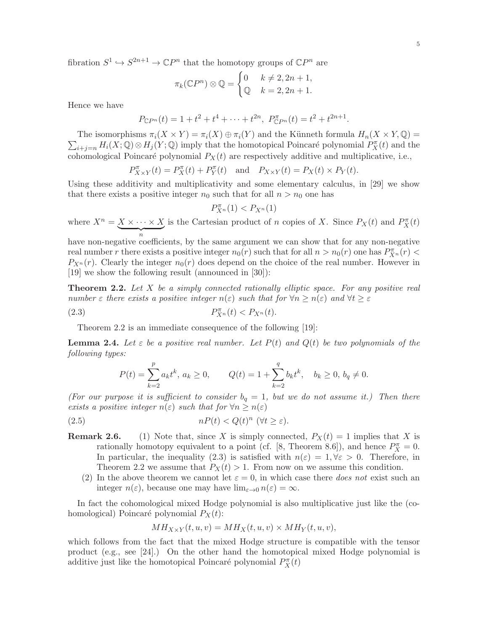fibration  $S^1 \hookrightarrow S^{2n+1} \to \mathbb{C}P^n$  that the homotopy groups of  $\mathbb{C}P^n$  are

$$
\pi_k(\mathbb{C}P^n) \otimes \mathbb{Q} = \begin{cases} 0 & k \neq 2, 2n+1, \\ \mathbb{Q} & k = 2, 2n+1. \end{cases}
$$

Hence we have

$$
P_{\mathbb{C}P^n}(t) = 1 + t^2 + t^4 + \dots + t^{2n}, \ P_{\mathbb{C}P^n}^{\pi}(t) = t^2 + t^{2n+1}.
$$

 $\sum_{i+j=n} H_i(X; \mathbb{Q}) \otimes H_j(Y; \mathbb{Q})$  imply that the homotopical Poincaré polynomial  $P_X^{\pi}(t)$  and the The isomorphisms  $\pi_i(X \times Y) = \pi_i(X) \oplus \pi_i(Y)$  and the Künneth formula  $H_n(X \times Y, \mathbb{Q}) =$ cohomological Poincaré polynomial  $P_X(t)$  are respectively additive and multiplicative, i.e.,

$$
P_{X\times Y}^{\pi}(t) = P_X^{\pi}(t) + P_Y^{\pi}(t) \quad \text{and} \quad P_{X\times Y}(t) = P_X(t) \times P_Y(t).
$$

Using these additivity and multiplicativity and some elementary calculus, in [29] we show that there exists a positive integer  $n_0$  such that for all  $n > n_0$  one has

$$
P_{X^n}^{\pi}(1) < P_{X^n}(1)
$$

where  $X^n = X \times \cdots \times X$  $\overbrace{\qquad \qquad n}$ is the Cartesian product of n copies of X. Since  $P_X(t)$  and  $P_X(\tau)$ 

have non-negative coefficients, by the same argument we can show that for any non-negative real number r there exists a positive integer  $n_0(r)$  such that for all  $n > n_0(r)$  one has  $P_{X^n}^{\pi}(r) <$  $P_{X^n}(r)$ . Clearly the integer  $n_0(r)$  does depend on the choice of the real number. However in [19] we show the following result (announced in [30]):

**Theorem 2.2.** Let X be a simply connected rationally elliptic space. For any positive real number  $\varepsilon$  there exists a positive integer  $n(\varepsilon)$  such that for  $\forall n \geq n(\varepsilon)$  and  $\forall t \geq \varepsilon$ 

$$
(2.3) \t\t P_{X^n}^{\pi}(t) < P_{X^n}(t).
$$

Theorem 2.2 is an immediate consequence of the following [19]:

**Lemma 2.4.** Let  $\varepsilon$  be a positive real number. Let  $P(t)$  and  $Q(t)$  be two polynomials of the following types:

$$
P(t) = \sum_{k=2}^{p} a_k t^k, \ a_k \ge 0, \qquad Q(t) = 1 + \sum_{k=2}^{q} b_k t^k, \quad b_k \ge 0, \ b_q \ne 0.
$$

(For our purpose it is sufficient to consider  $b_q = 1$ , but we do not assume it.) Then there exists a positive integer  $n(\varepsilon)$  such that for  $\forall n \geq n(\varepsilon)$ 

(2.5) 
$$
nP(t) < Q(t)^n \quad (\forall t \geq \varepsilon).
$$

- **Remark 2.6.** (1) Note that, since X is simply connected,  $P_X(t) = 1$  implies that X is rationally homotopy equivalent to a point (cf. [8, Theorem 8.6]), and hence  $P_X^{\pi} = 0$ . In particular, the inequality (2.3) is satisfied with  $n(\varepsilon) = 1, \forall \varepsilon > 0$ . Therefore, in Theorem 2.2 we assume that  $P_X(t) > 1$ . From now on we assume this condition.
	- (2) In the above theorem we cannot let  $\varepsilon = 0$ , in which case there *does not* exist such an integer  $n(\varepsilon)$ , because one may have  $\lim_{\varepsilon\to 0} n(\varepsilon) = \infty$ .

In fact the cohomological mixed Hodge polynomial is also multiplicative just like the (cohomological) Poincaré polynomial  $P_X(t)$ :

$$
MH_{X\times Y}(t, u, v) = MH_X(t, u, v) \times MH_Y(t, u, v),
$$

which follows from the fact that the mixed Hodge structure is compatible with the tensor product (e.g., see [24].) On the other hand the homotopical mixed Hodge polynomial is additive just like the homotopical Poincaré polynomial  $P_X^{\pi}(t)$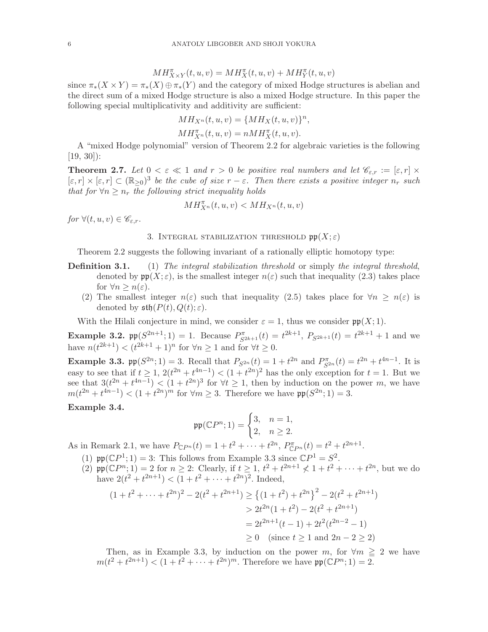$$
MH^{\pi}_{X \times Y}(t, u, v) = MH^{\pi}_{X}(t, u, v) + MH^{\pi}_{Y}(t, u, v)
$$

since  $\pi_*(X \times Y) = \pi_*(X) \oplus \pi_*(Y)$  and the category of mixed Hodge structures is abelian and the direct sum of a mixed Hodge structure is also a mixed Hodge structure. In this paper the following special multiplicativity and additivity are sufficient:

$$
MH_{X^n}(t, u, v) = \{MH_X(t, u, v)\}^n,
$$

 $MH_{X^n}^{\pi}(t, u, v) = nMH_X^{\pi}(t, u, v).$ 

A "mixed Hodge polynomial" version of Theorem 2.2 for algebraic varieties is the following  $[19, 30]$ :

**Theorem 2.7.** Let  $0 < \varepsilon \ll 1$  and  $r > 0$  be positive real numbers and let  $\mathscr{C}_{\varepsilon,r} := [\varepsilon, r] \times$  $[\varepsilon, r] \times [\varepsilon, r] \subset (\mathbb{R}_{\geq 0})^3$  be the cube of size  $r - \varepsilon$ . Then there exists a positive integer  $n_r$  such that for  $\forall n \geq n_r$  the following strict inequality holds

$$
MH_{X^n}^{\pi}(t, u, v) < MH_{X^n}(t, u, v)
$$

for  $\forall (t, u, v) \in \mathscr{C}_{\varepsilon,r}$ .

## 3. INTEGRAL STABILIZATION THRESHOLD  $\mathfrak{pp}(X;\varepsilon)$

Theorem 2.2 suggests the following invariant of a rationally elliptic homotopy type:

- **Definition 3.1.** (1) The integral stabilization threshold or simply the integral threshold, denoted by  $\mathfrak{pp}(X;\varepsilon)$ , is the smallest integer  $n(\varepsilon)$  such that inequality (2.3) takes place for  $\forall n \geq n(\varepsilon)$ .
	- (2) The smallest integer  $n(\varepsilon)$  such that inequality (2.5) takes place for  $\forall n \geq n(\varepsilon)$  is denoted by  $\mathfrak{sth}(P(t), Q(t); \varepsilon)$ .

With the Hilali conjecture in mind, we consider  $\varepsilon = 1$ , thus we consider  $\mathfrak{pp}(X; 1)$ .

**Example 3.2.**  $\text{pp}(S^{2n+1}; 1) = 1$ . Because  $P_{S^{2k+1}}^{\pi}(t) = t^{2k+1}$ ,  $P_{S^{2k+1}}(t) = t^{2k+1} + 1$  and we have  $n(t^{2k+1}) < (t^{2k+1} + 1)^n$  for  $\forall n \ge 1$  and for  $\forall t \ge 0$ .

**Example 3.3.**  $\mathfrak{pp}(S^{2n}; 1) = 3$ . Recall that  $P_{S^{2n}}(t) = 1 + t^{2n}$  and  $P_{S^{2n}}^{\pi}(t) = t^{2n} + t^{4n-1}$ . It is easy to see that if  $t \geq 1$ ,  $2(t^{2n} + t^{4n-1}) < (1 + t^{2n})^2$  has the only exception for  $t = 1$ . But we see that  $3(t^{2n} + t^{4n-1}) < (1 + t^{2n})^3$  for  $\forall t \ge 1$ , then by induction on the power m, we have  $m(t^{2n} + t^{4n-1}) < (1 + t^{2n})^m$  for  $\forall m \geq 3$ . Therefore we have  $\mathfrak{pp}(S^{2n}; 1) = 3$ .

# Example 3.4.

$$
\mathfrak{pp}(\mathbb{C}P^n; 1) = \begin{cases} 3, & n = 1, \\ 2, & n \ge 2. \end{cases}
$$

As in Remark 2.1, we have  $P_{\mathbb{C}P^n}(t) = 1 + t^2 + \cdots + t^{2n}, P_{\mathbb{C}P^n}^{\pi}(t) = t^2 + t^{2n+1}$ .

- (1)  $\mathfrak{pp}(\mathbb{C}P^1; 1) = 3$ : This follows from Example 3.3 since  $\mathbb{C}P^1 = S^2$ .
- (2)  $\text{pp}(\mathbb{C}P^n; 1) = 2$  for  $n \geq 2$ : Clearly, if  $t \geq 1$ ,  $t^2 + t^{2n+1} \nless 1 + t^2 + \cdots + t^{2n}$ , but we do have  $2(t^2 + t^{2n+1}) < (1 + t^2 + \dots + t^{2n})^2$ . Indeed,

$$
(1+t^2+\cdots+t^{2n})^2 - 2(t^2+t^{2n+1}) \ge \left\{ (1+t^2) + t^{2n} \right\}^2 - 2(t^2+t^{2n+1})
$$
  

$$
> 2t^{2n}(1+t^2) - 2(t^2+t^{2n+1})
$$
  

$$
= 2t^{2n+1}(t-1) + 2t^2(t^{2n-2} - 1)
$$
  

$$
\ge 0 \quad (\text{since } t \ge 1 \text{ and } 2n - 2 \ge 2)
$$

Then, as in Example 3.3, by induction on the power m, for  $\forall m \geq 2$  we have  $m(t^2 + t^{2n+1}) < (1 + t^2 + \dots + t^{2n})^m$ . Therefore we have  $\mathfrak{pp}(\mathbb{C}P^n; 1) = 2$ .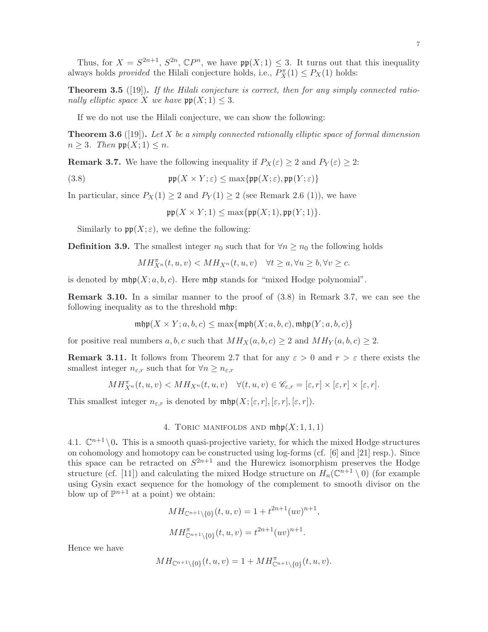Thus, for  $X = S^{2n+1}$ ,  $S^{2n}$ ,  $\mathbb{C}P^n$ , we have  $\mathfrak{pp}(X;1) \leq 3$ . It turns out that this inequality always holds *provided* the Hilali conjecture holds, i.e.,  $P_X^{\pi}(1) \leq P_X(1)$  holds:

**Theorem 3.5** ([19]). If the Hilali conjecture is correct, then for any simply connected rationally elliptic space X we have  $\mathfrak{pp}(X;1) \leq 3$ .

If we do not use the Hilali conjecture, we can show the following:

**Theorem 3.6** ([19]). Let X be a simply connected rationally elliptic space of formal dimension  $n \geq 3$ . Then  $\mathfrak{pp}(X;1) \leq n$ .

**Remark 3.7.** We have the following inequality if  $P_X(\varepsilon) \geq 2$  and  $P_Y(\varepsilon) \geq 2$ :

(3.8) 
$$
\mathfrak{pp}(X \times Y; \varepsilon) \leq \max\{\mathfrak{pp}(X; \varepsilon), \mathfrak{pp}(Y; \varepsilon)\}\
$$

In particular, since  $P_X(1) \geq 2$  and  $P_Y(1) \geq 2$  (see Remark 2.6 (1)), we have

 $\mathfrak{pp}(X \times Y; 1) \leq \max{\{\mathfrak{pp}(X; 1), \mathfrak{pp}(Y; 1)\}}.$ 

Similarly to  $\mathfrak{pp}(X;\varepsilon)$ , we define the following:

**Definition 3.9.** The smallest integer  $n_0$  such that for  $\forall n \geq n_0$  the following holds

$$
MH_{X^n}^{\pi}(t, u, v) < MH_{X^n}(t, u, v) \quad \forall t \ge a, \forall u \ge b, \forall v \ge c.
$$

is denoted by  $\min(X; a, b, c)$ . Here  $\min\{p\}$  stands for "mixed Hodge polynomial".

Remark 3.10. In a similar manner to the proof of (3.8) in Remark 3.7, we can see the following inequality as to the threshold mhp:

$$
\mathrm{mhp}(X \times Y; a, b, c) \le \max\{\mathrm{mph}(X; a, b, c), \mathrm{mhp}(Y; a, b, c)\}
$$

for positive real numbers  $a, b, c$  such that  $MH_X(a, b, c) \geq 2$  and  $MH_Y(a, b, c) \geq 2$ .

**Remark 3.11.** It follows from Theorem 2.7 that for any  $\varepsilon > 0$  and  $r > \varepsilon$  there exists the smallest integer  $n_{\varepsilon,r}$  such that for  $\forall n \geq n_{\varepsilon,r}$ 

$$
MH^{\pi}_{X^n}(t, u, v) < MH_{X^n}(t, u, v) \quad \forall (t, u, v) \in \mathscr{C}_{\varepsilon,r} = [\varepsilon, r] \times [\varepsilon, r] \times [\varepsilon, r].
$$

This smallest integer  $n_{\varepsilon,r}$  is denoted by  $\operatorname{mfp}(X; [\varepsilon, r], [\varepsilon, r], [\varepsilon, r])$ .

### 4. TORIC MANIFOLDS AND  $\operatorname{mfp}(X;1,1,1)$

4.1.  $\mathbb{C}^{n+1} \setminus 0$ . This is a smooth quasi-projective variety, for which the mixed Hodge structures on cohomology and homotopy can be constructed using log-forms (cf. [6] and [21] resp.). Since this space can be retracted on  $S^{2n+1}$  and the Hurewicz isomorphism preserves the Hodge structure (cf. [11]) and calculating the mixed Hodge structure on  $H_n(\mathbb{C}^{n+1} \setminus 0)$  (for example using Gysin exact sequence for the homology of the complement to smooth divisor on the blow up of  $\mathbb{P}^{n+1}$  at a point) we obtain:

$$
MH_{\mathbb{C}^{n+1}\setminus\{0\}}(t, u, v) = 1 + t^{2n+1}(uv)^{n+1},
$$
  

$$
MH_{\mathbb{C}^{n+1}\setminus\{0\}}^{m}(t, u, v) = t^{2n+1}(uv)^{n+1}.
$$

Hence we have

$$
MH_{\mathbb{C}^{n+1}\setminus\{0\}}(t,u,v) = 1 + MH^{\pi}_{\mathbb{C}^{n+1}\setminus\{0\}}(t,u,v).
$$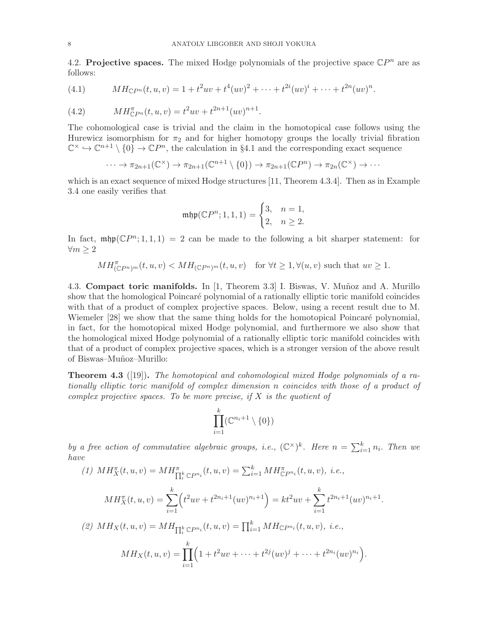4.2. Projective spaces. The mixed Hodge polynomials of the projective space  $\mathbb{C}P^n$  are as follows:

(4.1) 
$$
MH_{\mathbb{C}P^n}(t,u,v) = 1 + t^2uv + t^4(uv)^2 + \cdots + t^{2i}(uv)^i + \cdots + t^{2n}(uv)^n.
$$

(4.2) 
$$
MH_{\mathbb{C}P^n}^{\pi}(t,u,v) = t^2uv + t^{2n+1}(uv)^{n+1}.
$$

The cohomological case is trivial and the claim in the homotopical case follows using the Hurewicz isomorphism for  $\pi_2$  and for higher homotopy groups the locally trivial fibration  $\mathbb{C}^{\times} \hookrightarrow \mathbb{C}^{n+1} \setminus \{0\} \to \mathbb{C}P^{n}$ , the calculation in §4.1 and the corresponding exact sequence

$$
\cdots \to \pi_{2n+1}(\mathbb{C}^{\times}) \to \pi_{2n+1}(\mathbb{C}^{n+1} \setminus \{0\}) \to \pi_{2n+1}(\mathbb{C}P^{n}) \to \pi_{2n}(\mathbb{C}^{\times}) \to \cdots
$$

which is an exact sequence of mixed Hodge structures [11, Theorem 4.3.4]. Then as in Example 3.4 one easily verifies that

$$
\mathfrak{mhp}(\mathbb{C}P^n; 1,1,1) = \begin{cases} 3, & n = 1, \\ 2, & n \ge 2. \end{cases}
$$

In fact,  $\operatorname{mfp}(\mathbb{C}P^n; 1,1,1) = 2$  can be made to the following a bit sharper statement: for  $\forall m \geq 2$ 

$$
MH_{(\mathbb{C}P^n)^m}^{\pi}(t,u,v) < MH_{(\mathbb{C}P^n)^m}(t,u,v) \text{ for } \forall t \ge 1, \forall (u,v) \text{ such that } uv \ge 1.
$$

4.3. Compact toric manifolds. In [1, Theorem 3.3] I. Biswas, V. Munoz and A. Murillo show that the homological Poincaré polynomial of a rationally elliptic toric manifold coincides with that of a product of complex projective spaces. Below, using a recent result due to M. Wiemeler [28] we show that the same thing holds for the homotopical Poincaré polynomial, in fact, for the homotopical mixed Hodge polynomial, and furthermore we also show that the homological mixed Hodge polynomial of a rationally elliptic toric manifold coincides with that of a product of complex projective spaces, which is a stronger version of the above result of Biswas–Mu˜noz–Murillo:

**Theorem 4.3** ([19]). The homotopical and cohomological mixed Hodge polynomials of a rationally elliptic toric manifold of complex dimension n coincides with those of a product of complex projective spaces. To be more precise, if  $X$  is the quotient of

$$
\prod_{i=1}^k (\mathbb{C}^{n_i+1}\setminus\{0\})
$$

by a free action of commutative algebraic groups, i.e.,  $(\mathbb{C}^{\times})^k$ . Here  $n = \sum_{i=1}^k n_i$ . Then we have

(1) 
$$
MH_X^{\pi}(t, u, v) = MH_{\prod_i^k \mathbb{C}P^{n_i}}^{\pi}(t, u, v) = \sum_{i=1}^k MH_{\mathbb{C}P^{n_i}}^{\pi}(t, u, v), i.e.,
$$

$$
MH_X^{\pi}(t, u, v) = \sum_{i=1}^k \left( t^2 u v + t^{2n_i+1} (uv)^{n_i+1} \right) = kt^2 u v + \sum_{i=1}^k t^{2n_i+1} (uv)^{n_i+1}.
$$
  
(2) 
$$
MH_X(t, u, v) = MH_{\prod_i^k \mathbb{C}P^{n_i}}(t, u, v) = \prod_{i=1}^k MH_{\mathbb{C}P^{n_i}}(t, u, v), i.e.,
$$

$$
MH_X(t, u, v) = \prod_{i=1}^k \left( 1 + t^2 u v + \dots + t^{2j} (uv)^j + \dots + t^{2n_i} (uv)^{n_i} \right).
$$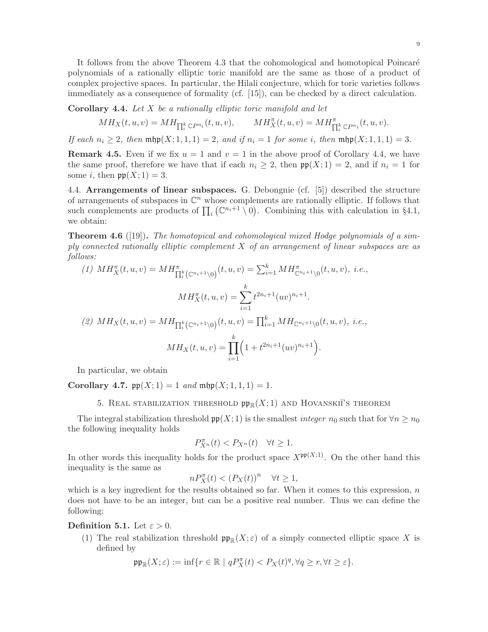It follows from the above Theorem 4.3 that the cohomological and homotopical Poincaré polynomials of a rationally elliptic toric manifold are the same as those of a product of complex projective spaces. In particular, the Hilali conjecture, which for toric varieties follows immediately as a consequence of formality (cf. [15]), can be checked by a direct calculation.

Corollary 4.4. Let X be a rationally elliptic toric manifold and let

$$
MH_X(t, u, v) = MH_{\prod_i^k \mathbb{C}P^{n_i}}(t, u, v), \qquad MH_X^{\pi}(t, u, v) = MH_{\prod_i^k \mathbb{C}P^{n_i}}^{\pi}(t, u, v).
$$

If each  $n_i \geq 2$ , then  $\operatorname{mfp}(X; 1, 1, 1) = 2$ , and if  $n_i = 1$  for some i, then  $\operatorname{mfp}(X; 1, 1, 1) = 3$ .

**Remark 4.5.** Even if we fix  $u = 1$  and  $v = 1$  in the above proof of Corollary 4.4, we have the same proof, therefore we have that if each  $n_i \geq 2$ , then  $\mathfrak{pp}(X; 1) = 2$ , and if  $n_i = 1$  for some *i*, then  $pp(X; 1) = 3$ .

4.4. Arrangements of linear subspaces. G. Debongnie (cf. [5]) described the structure of arrangements of subspaces in  $\mathbb{C}^n$  whose complements are rationally elliptic. If follows that such complements are products of  $\prod_i (\mathbb{C}^{n_i+1} \setminus 0)$ . Combining this with calculation in §4.1, we obtain:

**Theorem 4.6** ([19]). The homotopical and cohomological mixed Hodge polynomials of a simply connected rationally elliptic complement  $X$  of an arrangement of linear subspaces are as follows:

(1) 
$$
MH_X^{\pi}(t, u, v) = MH_{\prod_i^k (\mathbb{C}^{n_i+1}\setminus 0)}^{\pi}(t, u, v) = \sum_{i=1}^k MH_{\mathbb{C}^{n_i+1}\setminus 0}^{\pi}(t, u, v), \ i.e.,
$$

$$
MH_X^{\pi}(t, u, v) = \sum_{i=1}^k t^{2n_i+1} (uv)^{n_i+1}.
$$

$$
(2) MH_X(t, u, v) = MH_{\prod_i^k (\mathbb{C}^{n_i+1}\setminus 0)}(t, u, v) = \prod_{i=1}^k MH_{\mathbb{C}^{n_i+1}\setminus 0}(t, u, v), \ i.e.,
$$

$$
MH_X(t, u, v) = \prod_{i=1}^k \left(1 + t^{2n_i+1} (uv)^{n_i+1}\right).
$$

In particular, we obtain

Corollary 4.7.  $\mathfrak{pp}(X; 1) = 1$  and  $\mathfrak{mp}(X; 1, 1, 1) = 1$ .

### 5. REAL STABILIZATION THRESHOLD  $\mathfrak{pp}_{\mathbb{R}}(X;1)$  and HOVANSKII'S THEOREM

The integral stabilization threshold  $\mathfrak{pp}(X; 1)$  is the smallest *integer*  $n_0$  such that for  $\forall n \geq n_0$ the following inequality holds

$$
P_{X^n}^{\pi}(t) < P_{X^n}(t) \quad \forall t \ge 1.
$$

In other words this inequality holds for the product space  $X^{\mathfrak{pp}(X;1)}$ . On the other hand this inequality is the same as

$$
nP_X^{\pi}(t) < (P_X(t))^n \quad \forall t \ge 1,
$$

which is a key ingredient for the results obtained so far. When it comes to this expression,  $n$ does not have to be an integer, but can be a positive real number. Thus we can define the following:

Definition 5.1. Let  $\varepsilon > 0$ .

(1) The real stabilization threshold  $\mathfrak{pp}_{\mathbb{R}}(X;\varepsilon)$  of a simply connected elliptic space X is defined by

$$
\mathfrak{pp}_{\mathbb{R}}(X;\varepsilon) := \inf \{ r \in \mathbb{R} \mid qP_X^{\pi}(t) < P_X(t)^q, \forall q \ge r, \forall t \ge \varepsilon \}.
$$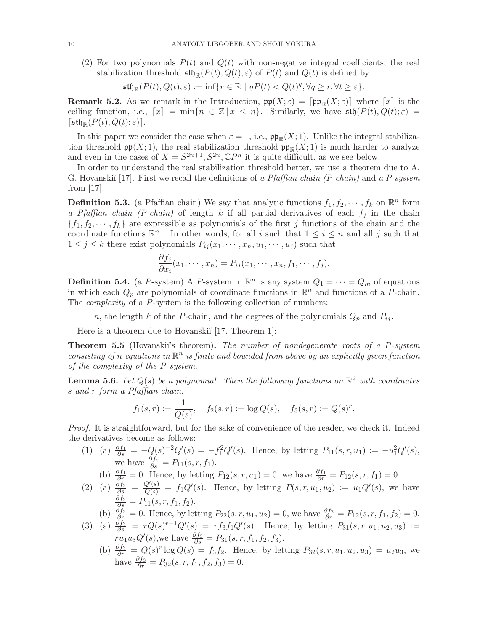(2) For two polynomials  $P(t)$  and  $Q(t)$  with non-negative integral coefficients, the real stabilization threshold  $\mathfrak{stb}_{\mathbb{R}}(P(t), Q(t); \varepsilon)$  of  $P(t)$  and  $Q(t)$  is defined by

 $\mathfrak{stb}_\mathbb{R}(P(t),Q(t);\varepsilon) := \inf\{r\in\mathbb{R} \mid qP(t) < Q(t)^q, \forall q\geq r, \forall t\geq \varepsilon\}.$ 

**Remark 5.2.** As we remark in the Introduction,  $\mathfrak{pp}(X;\varepsilon) = [\mathfrak{pp}_{\mathbb{R}}(X;\varepsilon)]$  where  $[x]$  is the ceiling function, i.e.,  $[x] = \min\{n \in \mathbb{Z} \mid x \leq n\}$ . Similarly, we have  $\mathfrak{sth}(P(t), Q(t); \varepsilon) =$  $\lceil \mathfrak{sth}_{\mathbb{R}}(P(t), Q(t); \varepsilon) \rceil$ .

In this paper we consider the case when  $\varepsilon = 1$ , i.e.,  $\mathfrak{pp}_{\mathbb{R}}(X; 1)$ . Unlike the integral stabilization threshold  $\mathfrak{pp}(X; 1)$ , the real stabilization threshold  $\mathfrak{pp}_{\mathbb{R}}(X; 1)$  is much harder to analyze and even in the cases of  $X = S^{2n+1}, S^{2n}, \mathbb{C}P^n$  it is quite difficult, as we see below.

In order to understand the real stabilization threshold better, we use a theorem due to A. G. Hovanskiĭ [17]. First we recall the definitions of a Pfaffian chain (P-chain) and a P-system from [17].

**Definition 5.3.** (a Pfaffian chain) We say that analytic functions  $f_1, f_2, \dots, f_k$  on  $\mathbb{R}^n$  form a Pfaffian chain (P-chain) of length k if all partial derivatives of each  $f_i$  in the chain  ${f_1, f_2, \dots, f_k}$  are expressible as polynomials of the first j functions of the chain and the coordinate functions  $\mathbb{R}^n$ . In other words, for all i such that  $1 \leq i \leq n$  and all j such that  $1 \leq j \leq k$  there exist polynomials  $P_{ij}(x_1, \dots, x_n, u_1, \dots, u_j)$  such that

$$
\frac{\partial f_j}{\partial x_i}(x_1,\dots,x_n)=P_{ij}(x_1,\dots,x_n,f_1,\dots,f_j).
$$

**Definition 5.4.** (a P-system) A P-system in  $\mathbb{R}^n$  is any system  $Q_1 = \cdots = Q_m$  of equations in which each  $Q_p$  are polynomials of coordinate functions in  $\mathbb{R}^n$  and functions of a P-chain. The *complexity* of a P-system is the following collection of numbers:

n, the length k of the P-chain, and the degrees of the polynomials  $Q_p$  and  $P_{ij}$ .

Here is a theorem due to Hovanskiı̆ [17, Theorem 1]:

**Theorem 5.5** (Hovanskii's theorem). The number of nondegenerate roots of a  $P$ -system consisting of n equations in  $\mathbb{R}^n$  is finite and bounded from above by an explicitly given function of the complexity of the P-system.

**Lemma 5.6.** Let  $Q(s)$  be a polynomial. Then the following functions on  $\mathbb{R}^2$  with coordinates s and r form a Pfaffian chain.

$$
f_1(s,r) := \frac{1}{Q(s)}, \quad f_2(s,r) := \log Q(s), \quad f_3(s,r) := Q(s)^r.
$$

Proof. It is straightforward, but for the sake of convenience of the reader, we check it. Indeed the derivatives become as follows:

(1) (a)  $\frac{\partial f_1}{\partial s} = -Q(s)^{-2}Q'(s) = -f_1^2Q'(s)$ . Hence, by letting  $P_{11}(s, r, u_1) := -u_1^2Q'(s)$ , we have  $\frac{\partial f_1}{\partial s} = P_{11}(s, r, f_1)$ .

(b)  $\frac{\partial f_1}{\partial r} = 0$ . Hence, by letting  $P_{12}(s, r, u_1) = 0$ , we have  $\frac{\partial f_1}{\partial r} = P_{12}(s, r, f_1) = 0$ 

(2) (a)  $\frac{\partial f_2}{\partial s} = \frac{Q'(s)}{Q(s)} = f_1 Q'(s)$ . Hence, by letting  $P(s, r, u_1, u_2) := u_1 Q'(s)$ , we have  $\frac{\partial f_2}{\partial s} = P_{11}(s, r, f_1, f_2).$ 

(b)  $\frac{\partial f_2}{\partial r} = 0$ . Hence, by letting  $P_{22}(s, r, u_1, u_2) = 0$ , we have  $\frac{\partial f_2}{\partial r} = P_{12}(s, r, f_1, f_2) = 0$ .

- (3) (a)  $\frac{\partial f_3}{\partial s} = rQ(s)^{r-1}Q'(s) = rf_3f_1Q'(s)$ . Hence, by letting  $P_{31}(s, r, u_1, u_2, u_3) :=$  $ru_1u_3Q'(s)$ , we have  $\frac{\partial f_3}{\partial s} = P_{31}(s, r, f_1, f_2, f_3)$ .
	- (b)  $\frac{\partial f_3}{\partial r} = Q(s)^r \log Q(s) = f_3 f_2$ . Hence, by letting  $P_{32}(s, r, u_1, u_2, u_3) = u_2 u_3$ , we have  $\frac{\partial f_3}{\partial r} = P_{32}(s, r, f_1, f_2, f_3) = 0.$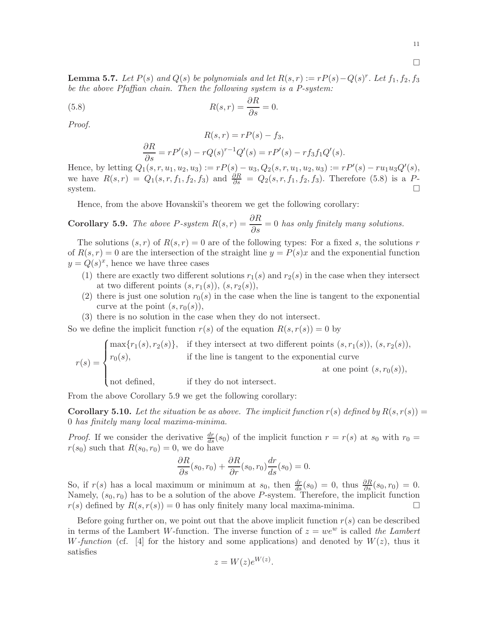11

 $\Box$ 

**Lemma 5.7.** Let  $P(s)$  and  $Q(s)$  be polynomials and let  $R(s,r) := rP(s) - Q(s)^r$ . Let  $f_1, f_2, f_3$ be the above Pfaffian chain. Then the following system is a P-system:

(5.8) 
$$
R(s,r) = \frac{\partial R}{\partial s} = 0.
$$

Proof.

$$
R(s,r) = rP(s) - f_3,
$$
  
\n
$$
\frac{\partial R}{\partial s} = rP'(s) - rQ(s)^{r-1}Q'(s) = rP'(s) - rf_3f_1Q'(s).
$$

Hence, by letting  $Q_1(s, r, u_1, u_2, u_3) := rP(s) - u_3, Q_2(s, r, u_1, u_2, u_3) := rP'(s) - ru_1u_3Q'(s)$ , we have  $R(s,r) = Q_1(s,r,f_1,f_2,f_3)$  and  $\frac{\partial R}{\partial s} = Q_2(s,r,f_1,f_2,f_3)$ . Therefore (5.8) is a Psystem.

Hence, from the above Hovanskiı's theorem we get the following corollary:

**Corollary 5.9.** The above P-system  $R(s,r) = \frac{\partial R}{\partial s} = 0$  has only finitely many solutions.

The solutions  $(s, r)$  of  $R(s, r) = 0$  are of the following types: For a fixed s, the solutions r of  $R(s, r) = 0$  are the intersection of the straight line  $y = P(s)x$  and the exponential function  $y = Q(s)^x$ , hence we have three cases

- (1) there are exactly two different solutions  $r_1(s)$  and  $r_2(s)$  in the case when they intersect at two different points  $(s, r_1(s)), (s, r_2(s)),$
- (2) there is just one solution  $r_0(s)$  in the case when the line is tangent to the exponential curve at the point  $(s, r_0(s)),$
- (3) there is no solution in the case when they do not intersect.

So we define the implicit function  $r(s)$  of the equation  $R(s, r(s)) = 0$  by

$$
r(s) = \begin{cases} \max\{r_1(s), r_2(s)\}, & \text{if they intersect at two different points } (s, r_1(s)), (s, r_2(s)), \\ r_0(s), & \text{if the line is tangent to the exponential curve} \\ \text{not defined,} & \text{if they do not intersect.} \end{cases}
$$

From the above Corollary 5.9 we get the following corollary:

**Corollary 5.10.** Let the situation be as above. The implicit function  $r(s)$  defined by  $R(s, r(s)) =$ 0 has finitely many local maxima-minima.

*Proof.* If we consider the derivative  $\frac{dr}{ds}(s_0)$  of the implicit function  $r = r(s)$  at  $s_0$  with  $r_0 =$  $r(s_0)$  such that  $R(s_0, r_0) = 0$ , we do have

$$
\frac{\partial R}{\partial s}(s_0, r_0) + \frac{\partial R}{\partial r}(s_0, r_0) \frac{dr}{ds}(s_0) = 0.
$$

So, if  $r(s)$  has a local maximum or minimum at  $s_0$ , then  $\frac{dr}{ds}(s_0) = 0$ , thus  $\frac{\partial R}{\partial s}(s_0, r_0) = 0$ . Namely,  $(s_0, r_0)$  has to be a solution of the above P-system. Therefore, the implicit function  $r(s)$  defined by  $R(s, r(s)) = 0$  has only finitely many local maxima-minima.

Before going further on, we point out that the above implicit function  $r(s)$  can be described in terms of the Lambert W-function. The inverse function of  $z = we^w$  is called the Lambert W-function (cf. [4] for the history and some applications) and denoted by  $W(z)$ , thus it satisfies

$$
z = W(z)e^{W(z)}.
$$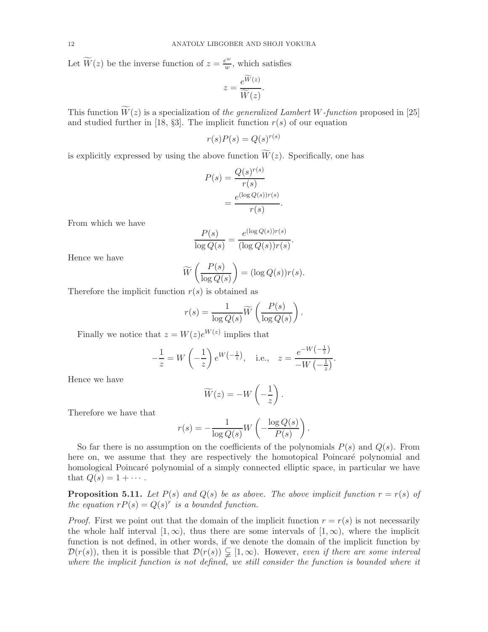Let  $\widetilde{W}(z)$  be the inverse function of  $z = \frac{e^w}{w}$  $\frac{e^{\omega}}{w}$ , which satisfies

$$
z = \frac{e^{\widetilde{W}(z)}}{\widetilde{W}(z)}.
$$

This function  $\widetilde{W}(z)$  is a specialization of the generalized Lambert W-function proposed in [25] and studied further in [18, §3]. The implicit function  $r(s)$  of our equation

$$
r(s)P(s) = Q(s)^{r(s)}
$$

is explicitly expressed by using the above function  $\widetilde{W}(z)$ . Specifically, one has

$$
P(s) = \frac{Q(s)^{r(s)}}{r(s)}
$$

$$
= \frac{e^{(\log Q(s))r(s)}}{r(s)}.
$$

From which we have

$$
\frac{P(s)}{\log Q(s)} = \frac{e^{(\log Q(s))r(s)}}{(\log Q(s))r(s)}.
$$

Hence we have

$$
\widetilde{W}\left(\frac{P(s)}{\log Q(s)}\right) = (\log Q(s))r(s).
$$

Therefore the implicit function  $r(s)$  is obtained as

$$
r(s) = \frac{1}{\log Q(s)} \widetilde{W}\left(\frac{P(s)}{\log Q(s)}\right).
$$

Finally we notice that  $z = W(z)e^{W(z)}$  implies that

$$
-\frac{1}{z} = W\left(-\frac{1}{z}\right)e^{W\left(-\frac{1}{z}\right)}, \quad \text{i.e.,} \quad z = \frac{e^{-W\left(-\frac{1}{z}\right)}}{-W\left(-\frac{1}{z}\right)}.
$$

Hence we have

$$
\widetilde{W}(z) = -W\left(-\frac{1}{z}\right).
$$

Therefore we have that

$$
r(s) = -\frac{1}{\log Q(s)} W\left(-\frac{\log Q(s)}{P(s)}\right)
$$

.

So far there is no assumption on the coefficients of the polynomials  $P(s)$  and  $Q(s)$ . From here on, we assume that they are respectively the homotopical Poincaré polynomial and homological Poincaré polynomial of a simply connected elliptic space, in particular we have that  $Q(s) = 1 + \cdots$ .

**Proposition 5.11.** Let  $P(s)$  and  $Q(s)$  be as above. The above implicit function  $r = r(s)$  of the equation  $rP(s) = Q(s)^r$  is a bounded function.

*Proof.* First we point out that the domain of the implicit function  $r = r(s)$  is not necessarily the whole half interval  $[1,\infty)$ , thus there are some intervals of  $[1,\infty)$ , where the implicit function is not defined, in other words, if we denote the domain of the implicit function by  $\mathcal{D}(r(s))$ , then it is possible that  $\mathcal{D}(r(s)) \subsetneq [1,\infty)$ . However, even if there are some interval where the implicit function is not defined, we still consider the function is bounded where it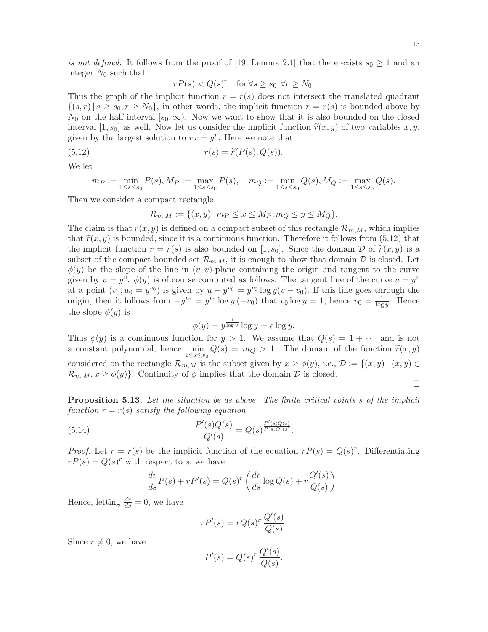13

is not defined. It follows from the proof of [19, Lemma 2.1] that there exists  $s_0 \geq 1$  and an integer  $N_0$  such that

$$
rP(s) < Q(s)^r \quad \text{for } \forall s \ge s_0, \forall r \ge N_0.
$$

Thus the graph of the implicit function  $r = r(s)$  does not intersect the translated quadrant  $\{(s,r) \mid s \geq s_0, r \geq N_0\}$ , in other words, the implicit function  $r = r(s)$  is bounded above by  $N_0$  on the half interval  $[s_0,\infty)$ . Now we want to show that it is also bounded on the closed interval [1, s<sub>0</sub>] as well. Now let us consider the implicit function  $\tilde{r}(x, y)$  of two variables x, y, given by the largest solution to  $rx = y^r$ . Here we note that

(5.12) 
$$
r(s) = \widetilde{r}(P(s), Q(s)).
$$

We let

$$
m_P := \min_{1 \le s \le s_0} P(s), M_P := \max_{1 \le s \le s_0} P(s), \quad m_Q := \min_{1 \le s \le s_0} Q(s), M_Q := \max_{1 \le s \le s_0} Q(s).
$$

Then we consider a compact rectangle

$$
\mathcal{R}_{m,M} := \{(x,y) | m_P \le x \le M_P, m_Q \le y \le M_Q\}.
$$

The claim is that  $\tilde{r}(x, y)$  is defined on a compact subset of this rectangle  $\mathcal{R}_{m,M}$ , which implies that  $\tilde{r}(x, y)$  is bounded, since it is a continuous function. Therefore it follows from (5.12) that the implicit function  $r = r(s)$  is also bounded on [1, s<sub>0</sub>]. Since the domain D of  $\tilde{r}(x, y)$  is a subset of the compact bounded set  $\mathcal{R}_{m,M}$ , it is enough to show that domain  $\mathcal D$  is closed. Let  $\phi(y)$  be the slope of the line in  $(u, v)$ -plane containing the origin and tangent to the curve given by  $u = y^v$ .  $\phi(y)$  is of course computed as follows: The tangent line of the curve  $u = y^v$ at a point  $(v_0, u_0 = y^{v_0})$  is given by  $u - y^{v_0} = y^{v_0} \log y(v - v_0)$ . If this line goes through the origin, then it follows from  $-y^{v_0} = y^{v_0} \log y (-v_0)$  that  $v_0 \log y = 1$ , hence  $v_0 = \frac{1}{\log y}$ . Hence the slope  $\phi(y)$  is

$$
\phi(y) = y^{\frac{1}{\log y}} \log y = e \log y.
$$

Thus  $\phi(y)$  is a continuous function for  $y > 1$ . We assume that  $Q(s) = 1 + \cdots$  and is not a constant polynomial, hence  $\min_{1 \leq s \leq s_0} Q(s) = m_Q > 1$ . The domain of the function  $\tilde{r}(x, y)$ considered on the rectangle  $\mathcal{R}_{m,M}$  is the subset given by  $x \geq \phi(y)$ , i.e.,  $\mathcal{D} := \{(x, y) | (x, y) \in$  $\mathcal{R}_{m,M}, x \geq \phi(y)$ . Continuity of  $\phi$  implies that the domain  $\mathcal{D}$  is closed.

П

**Proposition 5.13.** Let the situation be as above. The finite critical points s of the implicit function  $r = r(s)$  satisfy the following equation

.

(5.14) 
$$
\frac{P'(s)Q(s)}{Q'(s)} = Q(s)^{\frac{P'(s)Q(s)}{P(s)Q'(s)}}
$$

*Proof.* Let  $r = r(s)$  be the implicit function of the equation  $rP(s) = Q(s)^r$ . Differentiating  $rP(s) = Q(s)^r$  with respect to s, we have

$$
\frac{dr}{ds}P(s) + rP'(s) = Q(s)^r \left(\frac{dr}{ds}\log Q(s) + r\frac{Q'(s)}{Q(s)}\right).
$$

Hence, letting  $\frac{dr}{ds} = 0$ , we have

$$
rP'(s) = rQ(s)^r \frac{Q'(s)}{Q(s)}.
$$

Since  $r \neq 0$ , we have

$$
P'(s) = Q(s)^r \frac{Q'(s)}{Q(s)}.
$$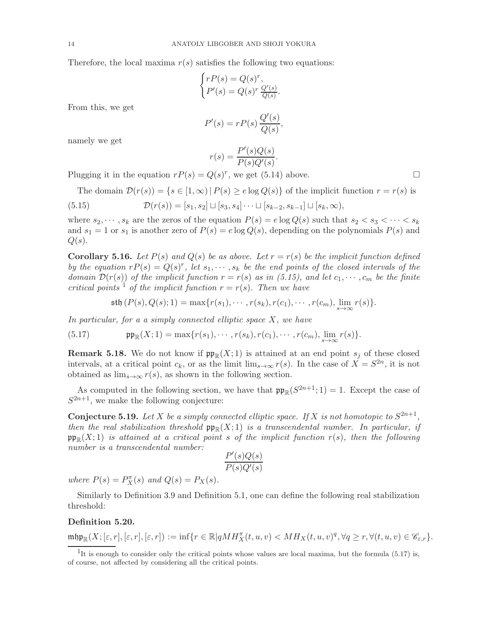Therefore, the local maxima  $r(s)$  satisfies the following two equations:

$$
\begin{cases} rP(s) = Q(s)^r, \\ P'(s) = Q(s)^r \frac{Q'(s)}{Q(s)}. \end{cases}
$$

From this, we get

$$
P'(s) = rP(s)\frac{Q'(s)}{Q(s)},
$$

namely we get

$$
r(s) = \frac{P'(s)Q(s)}{P(s)Q'(s)}.
$$

Plugging it in the equation  $rP(s) = Q(s)^r$ , we get (5.14) above.

The domain 
$$
\mathcal{D}(r(s)) = \{s \in [1, \infty) \mid P(s) \geq e \log Q(s)\}
$$
 of the implicit function  $r = r(s)$  is  $\mathcal{D}(r(s)) = [s_1, s_2] \sqcup [s_3, s_4] \cdots \sqcup [s_{k-2}, s_{k-1}] \sqcup [s_k, \infty),$ 

where  $s_2, \dots, s_k$  are the zeros of the equation  $P(s) = e \log Q(s)$  such that  $s_2 < s_3 < \dots < s_k$ and  $s_1 = 1$  or  $s_1$  is another zero of  $P(s) = e \log Q(s)$ , depending on the polynomials  $P(s)$  and  $Q(s)$ .

**Corollary 5.16.** Let  $P(s)$  and  $Q(s)$  be as above. Let  $r = r(s)$  be the implicit function defined by the equation  $rP(s) = Q(s)^r$ , let  $s_1, \dots, s_k$  be the end points of the closed intervals of the domain  $\mathcal{D}(r(s))$  of the implicit function  $r = r(s)$  as in (5.15), and let  $c_1, \dots, c_m$  be the finite critical points <sup>1</sup> of the implicit function  $r = r(s)$ . Then we have

$$
\mathfrak{sth}(P(s), Q(s); 1) = \max\{r(s_1), \cdots, r(s_k), r(c_1), \cdots, r(c_m), \lim_{s \to \infty} r(s)\}.
$$

In particular, for a a simply connected elliptic space  $X$ , we have

(5.17) 
$$
\mathfrak{pp}_{\mathbb{R}}(X;1) = \max\{r(s_1), \cdots, r(s_k), r(c_1), \cdots, r(c_m), \lim_{s \to \infty} r(s)\}.
$$

**Remark 5.18.** We do not know if  $\mathfrak{pp}_{\mathbb{R}}(X;1)$  is attained at an end point  $s_j$  of these closed intervals, at a critical point  $c_k$ , or as the limit  $\lim_{s\to\infty} r(s)$ . In the case of  $X = S^{2n}$ , it is not obtained as  $\lim_{s\to\infty} r(s)$ , as shown in the following section.

As computed in the following section, we have that  $\mathfrak{pp}_{\mathbb{R}}(S^{2n+1}; 1) = 1$ . Except the case of  $S^{2n+1}$ , we make the following conjecture:

**Conjecture 5.19.** Let X be a simply connected elliptic space. If X is not homotopic to  $S^{2n+1}$ , then the real stabilization threshold  $\mathfrak{pp}_\mathbb{R}(X;1)$  is a transcendental number. In particular, if  $\mathfrak{pp}_{\mathbb{R}}(X;1)$  is attained at a critical point s of the implicit function  $r(s)$ , then the following number is a transcendental number:

$$
\frac{P'(s)Q(s)}{P(s)Q'(s)}
$$

where  $P(s) = P_X^{\pi}(s)$  and  $Q(s) = P_X(s)$ .

Similarly to Definition 3.9 and Definition 5.1, one can define the following real stabilization threshold:

### Definition 5.20.

$$
\mathfrak{mhp}_\mathbb{R}(X;[\varepsilon,r],[\varepsilon,r],[\varepsilon,r]):=\inf\{r\in\mathbb{R}|qMH_X^\pi(t,u,v)< MH_X(t,u,v)^q, \forall q\geq r, \forall (t,u,v)\in\mathscr{C}_{\varepsilon,r}\}.
$$

<sup>&</sup>lt;sup>1</sup>It is enough to consider only the critical points whose values are local maxima, but the formula  $(5.17)$  is, of course, not affected by considering all the critical points.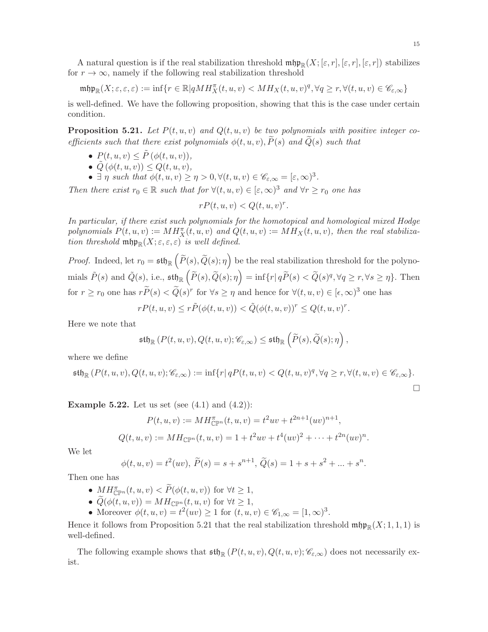A natural question is if the real stabilization threshold  $\mathfrak{m}(\mathfrak{p}_{\mathbb{R}}(X; [\varepsilon, r], [\varepsilon, r], [\varepsilon, r])$  stabilizes for  $r \to \infty$ , namely if the following real stabilization threshold

 $\mathfrak{m}\mathfrak{hp}_\mathbb{R}(X;\varepsilon,\varepsilon,\varepsilon):=\inf\{r\in\mathbb{R}| qMH_X^\pi(t,u,v)< MH_X(t,u,v)^q, \forall q\geq r, \forall (t,u,v)\in\mathscr{C}_{\varepsilon,\infty}\}$ 

is well-defined. We have the following proposition, showing that this is the case under certain condition.

**Proposition 5.21.** Let  $P(t, u, v)$  and  $Q(t, u, v)$  be two polynomials with positive integer coefficients such that there exist polynomials  $\phi(t, u, v)$ ,  $\widetilde{P}(s)$  and  $\widetilde{Q}(s)$  such that

- $P(t, u, v) \leq \tilde{P}(\phi(t, u, v)),$
- $\tilde{Q}(\phi(t, u, v)) \leq Q(t, u, v),$
- $\exists \eta \text{ such that } \phi(t, u, v) \geq \eta > 0, \forall (t, u, v) \in \mathscr{C}_{\varepsilon, \infty} = [\varepsilon, \infty)^3.$

Then there exist  $r_0 \in \mathbb{R}$  such that for  $\forall (t, u, v) \in [\varepsilon, \infty)^3$  and  $\forall r \geq r_0$  one has

$$
rP(t, u, v) < Q(t, u, v)^r.
$$

In particular, if there exist such polynomials for the homotopical and homological mixed Hodge polynomials  $P(t, u, v) := MH_X^{\pi}(t, u, v)$  and  $Q(t, u, v) := MH_X(t, u, v)$ , then the real stabilization threshold  $\mathfrak{mhp}_\mathbb{R}(X;\varepsilon,\varepsilon,\varepsilon)$  is well defined.

*Proof.* Indeed, let  $r_0 = \mathfrak{stf}_{\mathbb{R}}\left( \widetilde{P}(s), \widetilde{Q}(s); \eta \right)$  be the real stabilization threshold for the polyno- $\text{mials }\tilde{P}(s) \text{ and } \tilde{Q}(s) \text{, i.e., } \mathfrak{sth}_{\mathbb{R}}\left(\widetilde{P}(s),\widetilde{Q}(s); \eta\right) = \inf\{r | q\widetilde{P}(s) < \widetilde{Q}(s)^q, \forall q \geq r, \forall s \geq \eta\}.$  Then for  $r \ge r_0$  one has  $r \widetilde{P}(s) < \widetilde{Q}(s)^r$  for  $\forall s \ge \eta$  and hence for  $\forall (t, u, v) \in [\epsilon, \infty)^3$  one has

$$
rP(t, u, v) \le r\tilde{P}(\phi(t, u, v)) < \tilde{Q}(\phi(t, u, v))^r \le Q(t, u, v)^r.
$$

Here we note that

$$
\mathfrak{sth}_\mathbb{R}\left(P(t,u,v),Q(t,u,v);\mathscr{C}_{\varepsilon,\infty}\right)\leq \mathfrak{sth}_\mathbb{R}\left(\widetilde{P}(s),\widetilde{Q}(s);\eta\right),
$$

where we define

$$
\mathfrak{sth}_{\mathbb{R}}\left(P(t,u,v),Q(t,u,v);\mathcal{C}_{\varepsilon,\infty}\right):=\inf\{r|\,qP(t,u,v)
$$

**Example 5.22.** Let us set (see  $(4.1)$  and  $(4.2)$ ):

$$
P(t, u, v) := MH_{\mathbb{CP}^n}^{\pi}(t, u, v) = t^2uv + t^{2n+1}(uv)^{n+1},
$$
  

$$
Q(t, u, v) := MH_{\mathbb{CP}^n}(t, u, v) = 1 + t^2uv + t^4(uv)^2 + \dots + t^{2n}(uv)^n.
$$

We let

$$
\phi(t, u, v) = t^2(uv), \ \widetilde{P}(s) = s + s^{n+1}, \ \widetilde{Q}(s) = 1 + s + s^2 + \dots + s^n.
$$

Then one has

- $M H_{\mathbb{CP}^n}^{\pi}(t, u, v) < \widetilde{P}(\phi(t, u, v))$  for  $\forall t \geq 1$ ,
- $Q(\phi(t, u, v)) = M H_{\mathbb{CP}^n}(t, u, v)$  for  $\forall t \geq 1$ ,
- Moreover  $\phi(t, u, v) = t^2(uv) \ge 1$  for  $(t, u, v) \in \mathscr{C}_{1, \infty} = [1, \infty)^3$ .

Hence it follows from Proposition 5.21 that the real stabilization threshold  $\operatorname{mfp}_\mathbb{R}(X; 1, 1, 1)$  is well-defined.

The following example shows that  $\mathfrak{stb}_\mathbb{R}$   $(P(t, u, v), Q(t, u, v); \mathscr{C}_{\varepsilon, \infty})$  does not necessarily exist.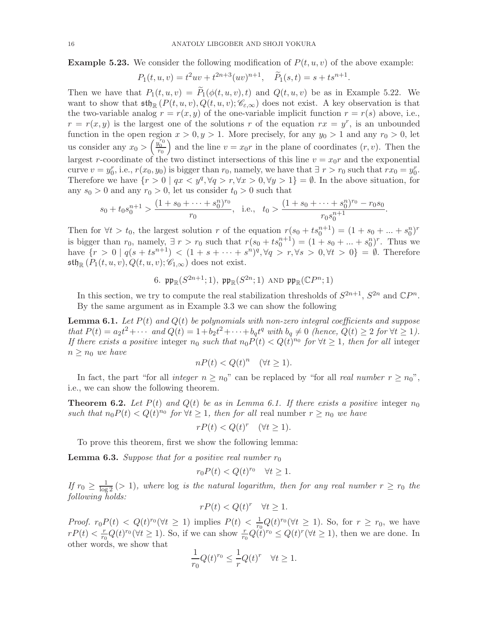**Example 5.23.** We consider the following modification of  $P(t, u, v)$  of the above example:

$$
P_1(t, u, v) = t^2uv + t^{2n+3}(uv)^{n+1}, \quad \widetilde{P}_1(s,t) = s + ts^{n+1}.
$$

Then we have that  $P_1(t, u, v) = \tilde{P}_1(\phi(t, u, v), t)$  and  $Q(t, u, v)$  be as in Example 5.22. We want to show that  $\operatorname{\mathfrak{sh}}_{\mathbb R}(P(t,u,v), Q(t,u,v); \mathscr{C}_{\varepsilon,\infty})$  does not exist. A key observation is that the two-variable analog  $r = r(x, y)$  of the one-variable implicit function  $r = r(s)$  above, i.e.,  $r = r(x, y)$  is the largest one of the solutions r of the equation  $rx = y^r$ , is an unbounded function in the open region  $x > 0, y > 1$ . More precisely, for any  $y_0 > 1$  and any  $r_0 > 0$ , let us consider any  $x_0 > \left(\frac{y_0^{r_0}}{r_0}\right)$ ) and the line  $v = x_0r$  in the plane of coordinates  $(r, v)$ . Then the largest r-coordinate of the two distinct intersections of this line  $v = x_0r$  and the exponential curve  $v = y_0^r$ , i.e.,  $r(x_0, y_0)$  is bigger than  $r_0$ , namely, we have that  $\exists r > r_0$  such that  $rx_0 = y_0^r$ . Therefore we have  $\{r > 0 \mid qx < y^q, \forall q > r, \forall x > 0, \forall y > 1\} = \emptyset$ . In the above situation, for any  $s_0 > 0$  and any  $r_0 > 0$ , let us consider  $t_0 > 0$  such that

$$
s_0 + t_0 s_0^{n+1} > \frac{(1 + s_0 + \dots + s_0^n)^{r_0}}{r_0}
$$
, i.e.,  $t_0 > \frac{(1 + s_0 + \dots + s_0^n)^{r_0} - r_0 s_0}{r_0 s_0^{n+1}}$ .

Then for  $\forall t > t_0$ , the largest solution r of the equation  $r(s_0 + ts_0^{n+1}) = (1 + s_0 + ... + s_0^n)^r$ is bigger than  $r_0$ , namely,  $\exists r > r_0$  such that  $r(s_0 + ts_0^{n+1}) = (1 + s_0 + ... + s_0^n)^r$ . Thus we have  $\{r > 0 \mid q(s + ts^{n+1}) < (1 + s + \cdots + s^n)^q, \forall q > r, \forall s > 0, \forall t > 0\} = \emptyset$ . Therefore  $\mathfrak{sth}_{\mathbb{R}}(P_1(t, u, v), Q(t, u, v); \mathscr{C}_{1,\infty})$  does not exist.

6. 
$$
\mathfrak{pp}_{\mathbb{R}}(S^{2n+1};1), \mathfrak{pp}_{\mathbb{R}}(S^{2n};1)
$$
 and  $\mathfrak{pp}_{\mathbb{R}}(\mathbb{C}P^n;1)$ 

In this section, we try to compute the real stabilization thresholds of  $S^{2n+1}$ ,  $S^{2n}$  and  $\mathbb{C}P^n$ . By the same argument as in Example 3.3 we can show the following

**Lemma 6.1.** Let  $P(t)$  and  $Q(t)$  be polynomials with non-zero integral coefficients and suppose that  $P(t) = a_2 t^2 + \cdots$  and  $Q(t) = 1 + b_2 t^2 + \cdots + b_q t^q$  with  $b_q \neq 0$  (hence,  $Q(t) \geq 2$  for  $\forall t \geq 1$ ). If there exists a positive integer  $n_0$  such that  $n_0 P(t) < Q(t)^{n_0}$  for  $\forall t \geq 1$ , then for all integer  $n \geq n_0$  we have

$$
nP(t) < Q(t)^n \quad (\forall t \ge 1).
$$

In fact, the part "for all *integer*  $n \ge n_0$ " can be replaced by "for all *real number*  $r \ge n_0$ ", i.e., we can show the following theorem.

**Theorem 6.2.** Let  $P(t)$  and  $Q(t)$  be as in Lemma 6.1. If there exists a positive integer  $n_0$ such that  $n_0 P(t) < Q(t)^{n_0}$  for  $\forall t \geq 1$ , then for all real number  $r \geq n_0$  we have

$$
rP(t) < Q(t)^r \quad (\forall t \ge 1).
$$

To prove this theorem, first we show the following lemma:

**Lemma 6.3.** Suppose that for a positive real number  $r_0$ 

$$
r_0 P(t) < Q(t)^{r_0} \quad \forall t \ge 1.
$$

If  $r_0 \geq \frac{1}{\log 2}$  (> 1), where  $\log$  is the natural logarithm, then for any real number  $r \geq r_0$  the following holds:

$$
rP(t) < Q(t)^r \quad \forall t \ge 1.
$$

*Proof.*  $r_0 P(t) < Q(t)^{r_0} (\forall t \ge 1)$  implies  $P(t) < \frac{1}{r_0} Q(t)^{r_0} (\forall t \ge 1)$ . So, for  $r \ge r_0$ , we have  $rP(t) < \frac{r}{r_c}$  $\frac{r}{r_0}Q(t)^{r_0}(\forall t\geq 1)$ . So, if we can show  $\frac{r}{r_0}Q(t)^{r_0}\leq Q(t)^{r}(\forall t\geq 1)$ , then we are done. In other words, we show that

$$
\frac{1}{r_0}Q(t)^{r_0} \le \frac{1}{r}Q(t)^r \quad \forall t \ge 1.
$$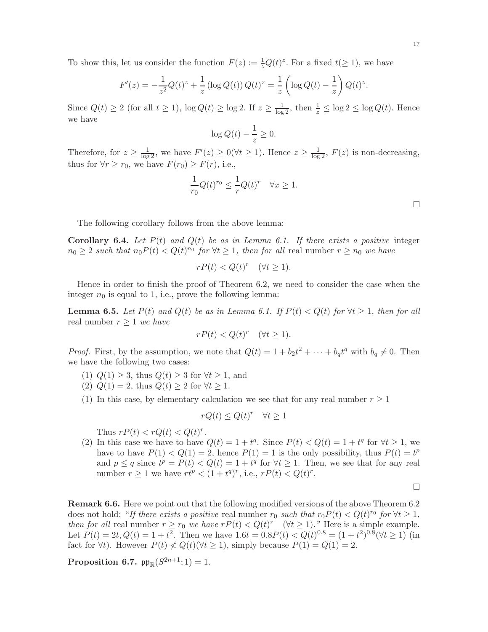To show this, let us consider the function  $F(z) := \frac{1}{z}Q(t)^{z}$ . For a fixed  $t(\geq 1)$ , we have

$$
F'(z) = -\frac{1}{z^2}Q(t)^z + \frac{1}{z}(\log Q(t))Q(t)^z = \frac{1}{z}\left(\log Q(t) - \frac{1}{z}\right)Q(t)^z.
$$

Since  $Q(t) \ge 2$  (for all  $t \ge 1$ ),  $\log Q(t) \ge \log 2$ . If  $z \ge \frac{1}{\log 2}$ , then  $\frac{1}{z} \le \log 2 \le \log Q(t)$ . Hence we have

$$
\log Q(t) - \frac{1}{z} \ge 0.
$$

Therefore, for  $z \geq \frac{1}{\log 2}$ , we have  $F'(z) \geq 0 \, (\forall t \geq 1)$ . Hence  $z \geq \frac{1}{\log 2}$ ,  $F(z)$  is non-decreasing, thus for  $\forall r \ge r_0$ , we have  $F(r_0) \ge F(r)$ , i.e.,

$$
\frac{1}{r_0}Q(t)^{r_0} \le \frac{1}{r}Q(t)^r \quad \forall x \ge 1.
$$

□

The following corollary follows from the above lemma:

**Corollary 6.4.** Let  $P(t)$  and  $Q(t)$  be as in Lemma 6.1. If there exists a positive integer  $n_0 \geq 2$  such that  $n_0 P(t) < Q(t)^{n_0}$  for  $\forall t \geq 1$ , then for all real number  $r \geq n_0$  we have

$$
rP(t) < Q(t)^r \quad (\forall t \ge 1).
$$

Hence in order to finish the proof of Theorem 6.2, we need to consider the case when the integer  $n_0$  is equal to 1, i.e., prove the following lemma:

**Lemma 6.5.** Let  $P(t)$  and  $Q(t)$  be as in Lemma 6.1. If  $P(t) < Q(t)$  for  $\forall t \geq 1$ , then for all real number  $r > 1$  we have

$$
rP(t) < Q(t)^r \quad (\forall t \ge 1).
$$

*Proof.* First, by the assumption, we note that  $Q(t) = 1 + b_2 t^2 + \cdots + b_q t^q$  with  $b_q \neq 0$ . Then we have the following two cases:

- (1)  $Q(1) \geq 3$ , thus  $Q(t) \geq 3$  for  $\forall t \geq 1$ , and
- (2)  $Q(1) = 2$ , thus  $Q(t) \geq 2$  for  $\forall t \geq 1$ .
- (1) In this case, by elementary calculation we see that for any real number  $r \geq 1$

$$
rQ(t) \le Q(t)^r \quad \forall t \ge 1
$$

Thus  $rP(t) < rQ(t) < Q(t)^r$ .

(2) In this case we have to have  $Q(t) = 1 + t^q$ . Since  $P(t) < Q(t) = 1 + t^q$  for  $\forall t \ge 1$ , we have to have  $P(1) < Q(1) = 2$ , hence  $P(1) = 1$  is the only possibility, thus  $P(t) = t^p$ and  $p \leq q$  since  $t^p = P(t) < Q(t) = 1 + t^q$  for  $\forall t \geq 1$ . Then, we see that for any real number  $r \geq 1$  we have  $rt^p < (1+t^q)^r$ , i.e.,  $rP(t) < Q(t)^r$ .

 $\Box$ 

Remark 6.6. Here we point out that the following modified versions of the above Theorem 6.2 does not hold: "If there exists a positive real number  $r_0$  such that  $r_0P(t) < Q(t)^{r_0}$  for  $\forall t \geq 1$ , then for all real number  $r \ge r_0$  we have  $rP(t) < Q(t)^r$   $(\forall t \ge 1)$ ." Here is a simple example. Let  $P(t) = 2t, Q(t) = 1 + t^2$ . Then we have  $1.6t = 0.8P(t) < Q(t)^{0.8} = (1 + t^2)^{0.8} (\forall t \ge 1)$  (in fact for  $\forall t$ ). However  $P(t) \nleq Q(t) (\forall t \geq 1)$ , simply because  $P(1) = Q(1) = 2$ .

Proposition 6.7.  $\mathfrak{pp}_{\mathbb{R}}(S^{2n+1};1) = 1$ .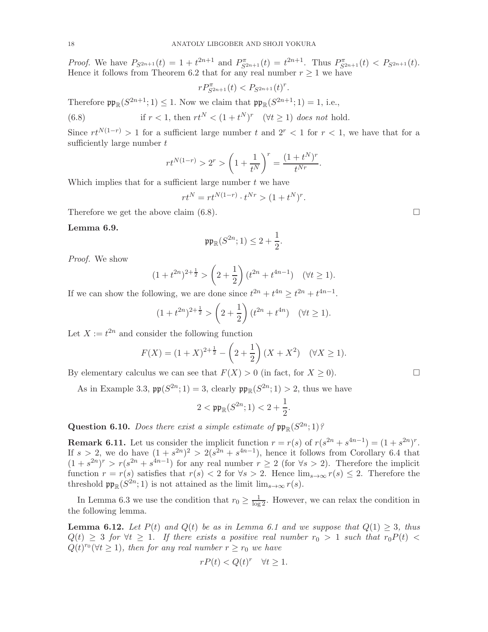*Proof.* We have  $P_{S^{2n+1}}(t) = 1 + t^{2n+1}$  and  $P_{S^{2n+1}}^{\pi}(t) = t^{2n+1}$ . Thus  $P_{S^{2n+1}}^{\pi}(t) < P_{S^{2n+1}}(t)$ . Hence it follows from Theorem 6.2 that for any real number  $r \geq 1$  we have

$$
r P_{S^{2n+1}}^{\pi}(t) < P_{S^{2n+1}}(t)^r
$$

.

.

Therefore  $\mathfrak{pp}_{\mathbb{R}}(S^{2n+1};1) \leq 1$ . Now we claim that  $\mathfrak{pp}_{\mathbb{R}}(S^{2n+1};1) = 1$ , i.e.,

(6.8) if 
$$
r < 1
$$
, then  $rt^N < (1 + t^N)^r \quad (\forall t \ge 1)$  does not hold.

Since  $rt^{N(1-r)} > 1$  for a sufficient large number t and  $2^r < 1$  for  $r < 1$ , we have that for a sufficiently large number t

$$
rt^{N(1-r)} > 2^r > \left(1 + \frac{1}{t^N}\right)^r = \frac{(1 + t^N)^r}{t^{Nr}}.
$$

Which implies that for a sufficient large number  $t$  we have

$$
rt^N=rt^{N(1-r)}\cdot t^{Nr}>(1+t^N)^r
$$

Therefore we get the above claim  $(6.8)$ .

## Lemma 6.9.

$$
\mathfrak{pp}_{\mathbb{R}}(S^{2n};1) \leq 2 + \frac{1}{2}.
$$

Proof. We show

$$
(1+t^{2n})^{2+\frac{1}{2}} > \left(2+\frac{1}{2}\right)(t^{2n}+t^{4n-1}) \quad (\forall t \ge 1).
$$

If we can show the following, we are done since  $t^{2n} + t^{4n} \geq t^{2n} + t^{4n-1}$ .

$$
(1+t^{2n})^{2+\frac{1}{2}} > \left(2+\frac{1}{2}\right)(t^{2n}+t^{4n}) \quad (\forall t \ge 1).
$$

Let  $X := t^{2n}$  and consider the following function

$$
F(X) = (1 + X)^{2 + \frac{1}{2}} - \left(2 + \frac{1}{2}\right)(X + X^2) \quad (\forall X \ge 1).
$$

By elementary calculus we can see that  $F(X) > 0$  (in fact, for  $X \ge 0$ ).

As in Example 3.3,  $\mathfrak{pp}(S^{2n}; 1) = 3$ , clearly  $\mathfrak{pp}_{\mathbb{R}}(S^{2n}; 1) > 2$ , thus we have

$$
2 < \mathfrak{pp}_{\mathbb{R}}(S^{2n}; 1) < 2 + \frac{1}{2}.
$$

Question 6.10. Does there exist a simple estimate of  $\mathfrak{pp}_{\mathbb{R}}(S^{2n};1)$ ?

**Remark 6.11.** Let us consider the implicit function  $r = r(s)$  of  $r(s^{2n} + s^{4n-1}) = (1 + s^{2n})^r$ . If  $s > 2$ , we do have  $(1 + s^{2n})^2 > 2(s^{2n} + s^{4n-1})$ , hence it follows from Corollary 6.4 that  $(1 + s^{2n})^r > r(s^{2n} + s^{4n-1})$  for any real number  $r \ge 2$  (for  $\forall s > 2$ ). Therefore the implicit function  $r = r(s)$  satisfies that  $r(s) < 2$  for  $\forall s > 2$ . Hence  $\lim_{s \to \infty} r(s) \leq 2$ . Therefore the threshold  $\mathfrak{pp}_{\mathbb{R}}(S^{2n};1)$  is not attained as the limit  $\lim_{s\to\infty} r(s)$ .

In Lemma 6.3 we use the condition that  $r_0 \geq \frac{1}{\log 2}$ . However, we can relax the condition in the following lemma.

**Lemma 6.12.** Let  $P(t)$  and  $Q(t)$  be as in Lemma 6.1 and we suppose that  $Q(1) \geq 3$ , thus  $Q(t) \geq 3$  for  $\forall t \geq 1$ . If there exists a positive real number  $r_0 > 1$  such that  $r_0P(t) <$  $Q(t)^{r_0} (\forall t \geq 1)$ , then for any real number  $r \geq r_0$  we have

$$
rP(t) < Q(t)^r \quad \forall t \ge 1.
$$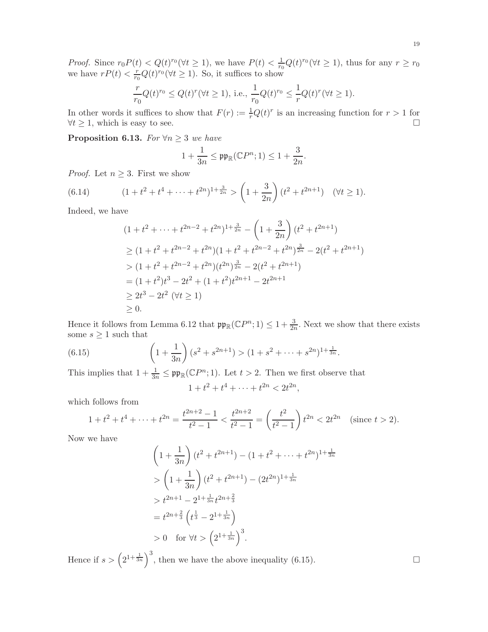*Proof.* Since  $r_0 P(t) < Q(t)^{r_0} (\forall t \ge 1)$ , we have  $P(t) < \frac{1}{r_0} Q(t)^{r_0} (\forall t \ge 1)$ , thus for any  $r \ge r_0$ we have  $rP(t) < \frac{r}{r}$  $\frac{r}{r_0}Q(t)^{r_0}(\forall t \geq 1)$ . So, it suffices to show

$$
\frac{r}{r_0}Q(t)^{r_0} \le Q(t)^r (\forall t \ge 1), \text{ i.e., } \frac{1}{r_0}Q(t)^{r_0} \le \frac{1}{r}Q(t)^r (\forall t \ge 1).
$$

In other words it suffices to show that  $F(r) := \frac{1}{r}Q(t)^r$  is an increasing function for  $r > 1$  for  $\forall t \geq 1$ , which is easy to see.

**Proposition 6.13.** For  $\forall n \geq 3$  we have

$$
1+\frac{1}{3n}\leq \mathfrak{pp}_{\mathbb{R}}(\mathbb{C} P^n;1)\leq 1+\frac{3}{2n}.
$$

*Proof.* Let  $n \geq 3$ . First we show

(6.14) 
$$
(1+t^2+t^4+\cdots+t^{2n})^{1+\frac{3}{2n}} > \left(1+\frac{3}{2n}\right)(t^2+t^{2n+1}) \quad (\forall t \ge 1).
$$

Indeed, we have

$$
(1+t^{2}+\cdots+t^{2n-2}+t^{2n})^{1+\frac{3}{2n}} - \left(1+\frac{3}{2n}\right)(t^{2}+t^{2n+1})
$$
  
\n
$$
\geq (1+t^{2}+t^{2n-2}+t^{2n})(1+t^{2}+t^{2n-2}+t^{2n})^{\frac{3}{2n}} - 2(t^{2}+t^{2n+1})
$$
  
\n
$$
> (1+t^{2}+t^{2n-2}+t^{2n})(t^{2n})^{\frac{3}{2n}} - 2(t^{2}+t^{2n+1})
$$
  
\n
$$
= (1+t^{2})t^{3} - 2t^{2} + (1+t^{2})t^{2n+1} - 2t^{2n+1}
$$
  
\n
$$
\geq 2t^{3} - 2t^{2} \quad (\forall t \geq 1)
$$
  
\n
$$
\geq 0.
$$

Hence it follows from Lemma 6.12 that  $\mathfrak{pp}_{\mathbb{R}}(\mathbb{C}P^n;1) \leq 1+\frac{3}{2n}$ . Next we show that there exists some  $s \geq 1$  such that

(6.15) 
$$
\left(1+\frac{1}{3n}\right)(s^2+s^{2n+1}) > (1+s^2+\cdots+s^{2n})^{1+\frac{1}{3n}}.
$$

This implies that  $1 + \frac{1}{3n} \le \mathfrak{pp}_{\mathbb{R}}(\mathbb{C}P^n; 1)$ . Let  $t > 2$ . Then we first observe that  $1 + t^2 + t^4 + \cdots + t^{2n} < 2t^{2n},$ 

which follows from

$$
1 + t2 + t4 + \dots + t2n = \frac{t^{2n+2} - 1}{t^{2} - 1} < \frac{t^{2n+2}}{t^{2} - 1} = \left(\frac{t^{2}}{t^{2} - 1}\right)t^{2n} < 2t^{2n} \quad \text{(since } t > 2\text{).}
$$

Now we have

$$
\left(1 + \frac{1}{3n}\right)(t^2 + t^{2n+1}) - (1 + t^2 + \dots + t^{2n})^{1 + \frac{1}{3n}}
$$
  
> 
$$
\left(1 + \frac{1}{3n}\right)(t^2 + t^{2n+1}) - (2t^{2n})^{1 + \frac{1}{3n}}
$$
  
> 
$$
t^{2n+1} - 2^{1 + \frac{1}{3n}}t^{2n + \frac{2}{3}}
$$
  
= 
$$
t^{2n + \frac{2}{3}}\left(t^{\frac{1}{3}} - 2^{1 + \frac{1}{3n}}\right)
$$
  
> 0 for  $\forall t > \left(2^{1 + \frac{1}{3n}}\right)^3$ .

Hence if  $s > (2^{1+\frac{1}{3n}})^3$ , then we have the above inequality (6.15).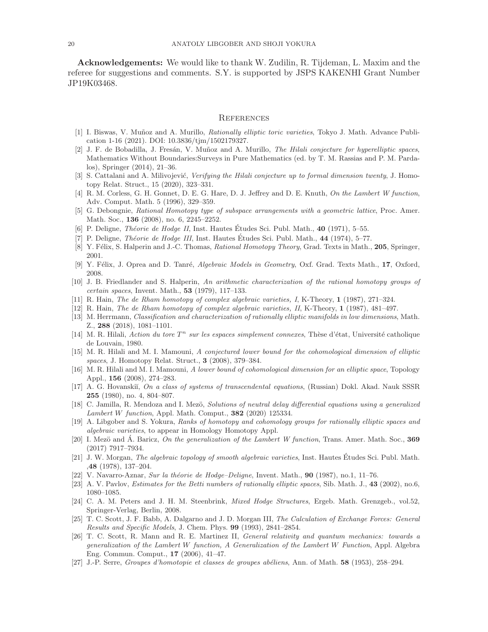Acknowledgements: We would like to thank W. Zudilin, R. Tijdeman, L. Maxim and the referee for suggestions and comments. S.Y. is supported by JSPS KAKENHI Grant Number JP19K03468.

#### **REFERENCES**

- [1] I. Biswas, V. Muñoz and A. Murillo, *Rationally elliptic toric varieties*, Tokyo J. Math. Advance Publication 1-16 (2021). DOI: 10.3836/tjm/1502179327.
- [2] J. F. de Bobadilla, J. Fresán, V. Muñoz and A. Murillo, *The Hilali conjecture for hyperelliptic spaces*, Mathematics Without Boundaries:Surveys in Pure Mathematics (ed. by T. M. Rassias and P. M. Pardalos), Springer (2014), 21–36.
- [3] S. Cattalani and A. Milivojević, Verifying the Hilali conjecture up to formal dimension twenty, J. Homotopy Relat. Struct., 15 (2020), 323–331.
- [4] R. M. Corless, G. H. Gonnet, D. E. G. Hare, D. J. Jeffrey and D. E. Knuth, On the Lambert W function, Adv. Comput. Math. 5 (1996), 329–359.
- [5] G. Debongnie, Rational Homotopy type of subspace arrangements with a geometric lattice, Proc. Amer. Math. Soc., 136 (2008), no. 6, 2245–2252.
- [6] P. Deligne, *Théorie de Hodge II*, Inst. Hautes Études Sci. Publ. Math.,  $40$  (1971), 5–55.
- [7] P. Deligne, *Théorie de Hodge III*, Inst. Hautes Études Sci. Publ. Math., 44 (1974), 5–77.
- [8] Y. Félix, S. Halperin and J.-C. Thomas, Rational Homotopy Theory, Grad. Texts in Math., 205, Springer, 2001.
- [9] Y. Félix, J. Oprea and D. Tanré, Algebraic Models in Geometry, Oxf. Grad. Texts Math., 17, Oxford, 2008.
- [10] J. B. Friedlander and S. Halperin, An arithmetic characterization of the rational homotopy groups of certain spaces, Invent. Math., 53 (1979), 117–133.
- [11] R. Hain, The de Rham homotopy of complex algebraic varieties, I, K-Theory, 1 (1987), 271–324.
- [12] R. Hain, The de Rham homotopy of complex algebraic varieties, II, K-Theory, 1 (1987), 481–497.
- [13] M. Herrmann, Classification and characterization of rationally elliptic manifolds in low dimensions, Math. Z., 288 (2018), 1081–1101.
- [14] M. R. Hilali, Action du tore  $T^n$  sur les espaces simplement connexes, Thèse d'état, Université catholique de Louvain, 1980.
- [15] M. R. Hilali and M. I. Mamouni, A conjectured lower bound for the cohomological dimension of elliptic spaces, J. Homotopy Relat. Struct., 3 (2008), 379–384.
- [16] M. R. Hilali and M. I. Mamouni, A lower bound of cohomological dimension for an elliptic space, Topology Appl., 156 (2008), 274–283.
- [17] A. G. Hovanskiĭ, On a class of systems of transcendental equations, (Russian) Dokl. Akad. Nauk SSSR 255 (1980), no. 4, 804–807.
- [18] C. Jamilla, R. Mendoza and I. Mezö, Solutions of neutral delay differential equations using a generalized Lambert W function, Appl. Math. Comput., 382 (2020) 125334.
- [19] A. Libgober and S. Yokura, Ranks of homotopy and cohomology groups for rationally elliptic spaces and algebraic varieties, to appear in Homology Homotopy Appl.
- [20] I. Mezö and  $\acute{A}$ . Baricz, On the generalization of the Lambert W function, Trans. Amer. Math. Soc., 369 (2017) 7917–7934.
- [21] J. W. Morgan, The algebraic topology of smooth algebraic varieties, Inst. Hautes Études Sci. Publ. Math. ,48 (1978), 137–204.
- [22] V. Navarro-Aznar, Sur la théorie de Hodge–Deligne, Invent. Math.,  $90$  (1987), no.1, 11–76.
- [23] A. V. Pavlov, *Estimates for the Betti numbers of rationally elliptic spaces*, Sib. Math. J., 43 (2002), no.6, 1080–1085.
- [24] C. A. M. Peters and J. H. M. Steenbrink, *Mixed Hodge Structures*, Ergeb. Math. Grenzgeb., vol.52, Springer-Verlag, Berlin, 2008.
- [25] T. C. Scott, J. F. Babb, A. Dalgarno and J. D. Morgan III, The Calculation of Exchange Forces: General Results and Specific Models, J. Chem. Phys. 99 (1993), 2841–2854.
- [26] T. C. Scott, R. Mann and R. E. Martinez II, General relativity and quantum mechanics: towards a generalization of the Lambert W function, A Generalization of the Lambert W Function, Appl. Algebra Eng. Commun. Comput., 17 (2006), 41–47.
- [27] J.-P. Serre, *Groupes d'homotopie et classes de groupes abéliens*, Ann. of Math.  $58$  (1953), 258–294.